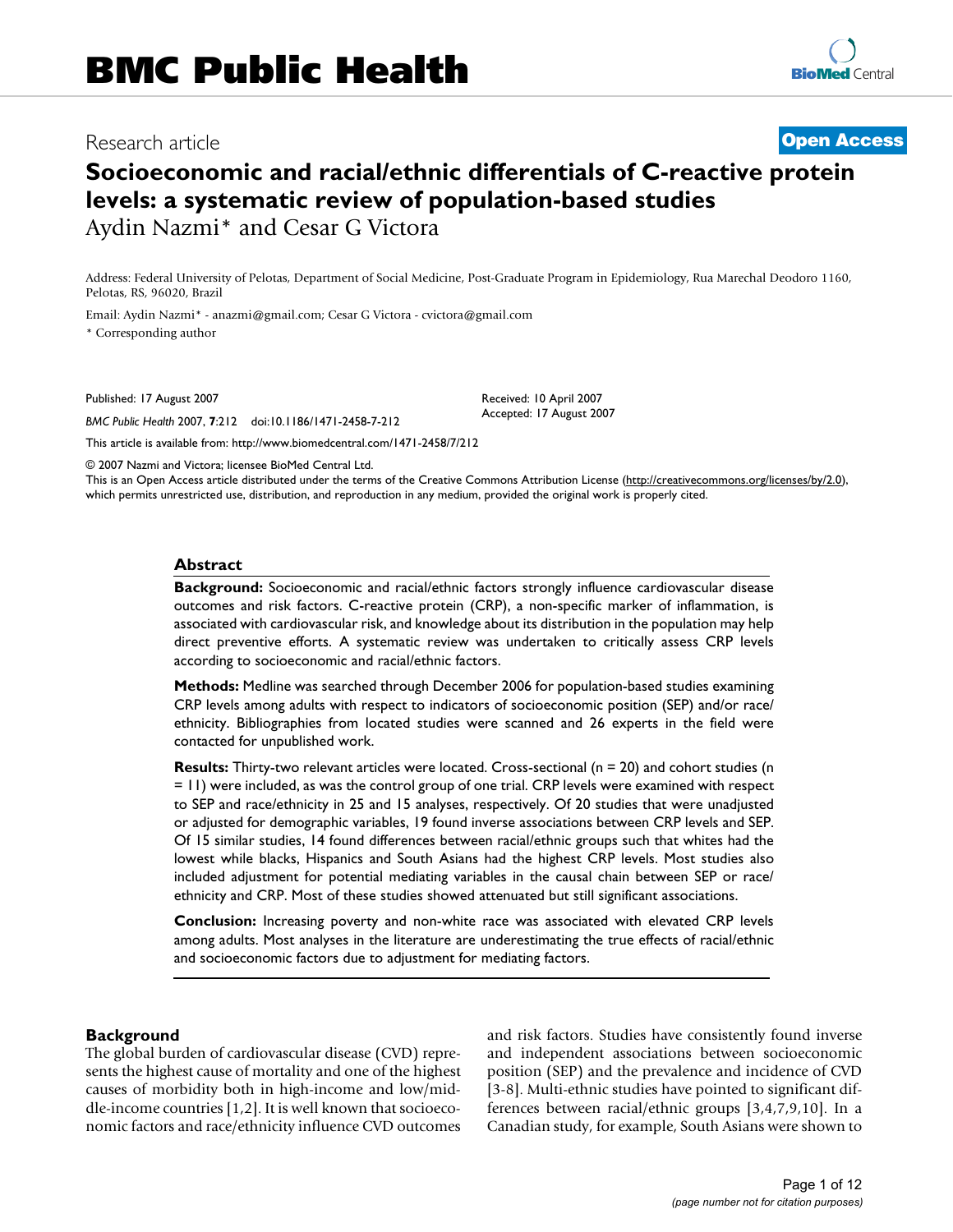## Research article **[Open Access](http://www.biomedcentral.com/info/about/charter/)**

# **Socioeconomic and racial/ethnic differentials of C-reactive protein levels: a systematic review of population-based studies** Aydin Nazmi\* and Cesar G Victora

Address: Federal University of Pelotas, Department of Social Medicine, Post-Graduate Program in Epidemiology, Rua Marechal Deodoro 1160, Pelotas, RS, 96020, Brazil

Email: Aydin Nazmi\* - anazmi@gmail.com; Cesar G Victora - cvictora@gmail.com \* Corresponding author

Published: 17 August 2007

*BMC Public Health* 2007, **7**:212 doi:10.1186/1471-2458-7-212

Received: 10 April 2007 Accepted: 17 August 2007

[This article is available from: http://www.biomedcentral.com/1471-2458/7/212](http://www.biomedcentral.com/1471-2458/7/212)

© 2007 Nazmi and Victora; licensee BioMed Central Ltd.

This is an Open Access article distributed under the terms of the Creative Commons Attribution License [\(http://creativecommons.org/licenses/by/2.0\)](http://creativecommons.org/licenses/by/2.0), which permits unrestricted use, distribution, and reproduction in any medium, provided the original work is properly cited.

#### **Abstract**

**Background:** Socioeconomic and racial/ethnic factors strongly influence cardiovascular disease outcomes and risk factors. C-reactive protein (CRP), a non-specific marker of inflammation, is associated with cardiovascular risk, and knowledge about its distribution in the population may help direct preventive efforts. A systematic review was undertaken to critically assess CRP levels according to socioeconomic and racial/ethnic factors.

**Methods:** Medline was searched through December 2006 for population-based studies examining CRP levels among adults with respect to indicators of socioeconomic position (SEP) and/or race/ ethnicity. Bibliographies from located studies were scanned and 26 experts in the field were contacted for unpublished work.

**Results:** Thirty-two relevant articles were located. Cross-sectional (n = 20) and cohort studies (n = 11) were included, as was the control group of one trial. CRP levels were examined with respect to SEP and race/ethnicity in 25 and 15 analyses, respectively. Of 20 studies that were unadjusted or adjusted for demographic variables, 19 found inverse associations between CRP levels and SEP. Of 15 similar studies, 14 found differences between racial/ethnic groups such that whites had the lowest while blacks, Hispanics and South Asians had the highest CRP levels. Most studies also included adjustment for potential mediating variables in the causal chain between SEP or race/ ethnicity and CRP. Most of these studies showed attenuated but still significant associations.

**Conclusion:** Increasing poverty and non-white race was associated with elevated CRP levels among adults. Most analyses in the literature are underestimating the true effects of racial/ethnic and socioeconomic factors due to adjustment for mediating factors.

#### **Background**

The global burden of cardiovascular disease (CVD) represents the highest cause of mortality and one of the highest causes of morbidity both in high-income and low/middle-income countries [1,2]. It is well known that socioeconomic factors and race/ethnicity influence CVD outcomes and risk factors. Studies have consistently found inverse and independent associations between socioeconomic position (SEP) and the prevalence and incidence of CVD [3-8]. Multi-ethnic studies have pointed to significant differences between racial/ethnic groups [3,4,7,9,10]. In a Canadian study, for example, South Asians were shown to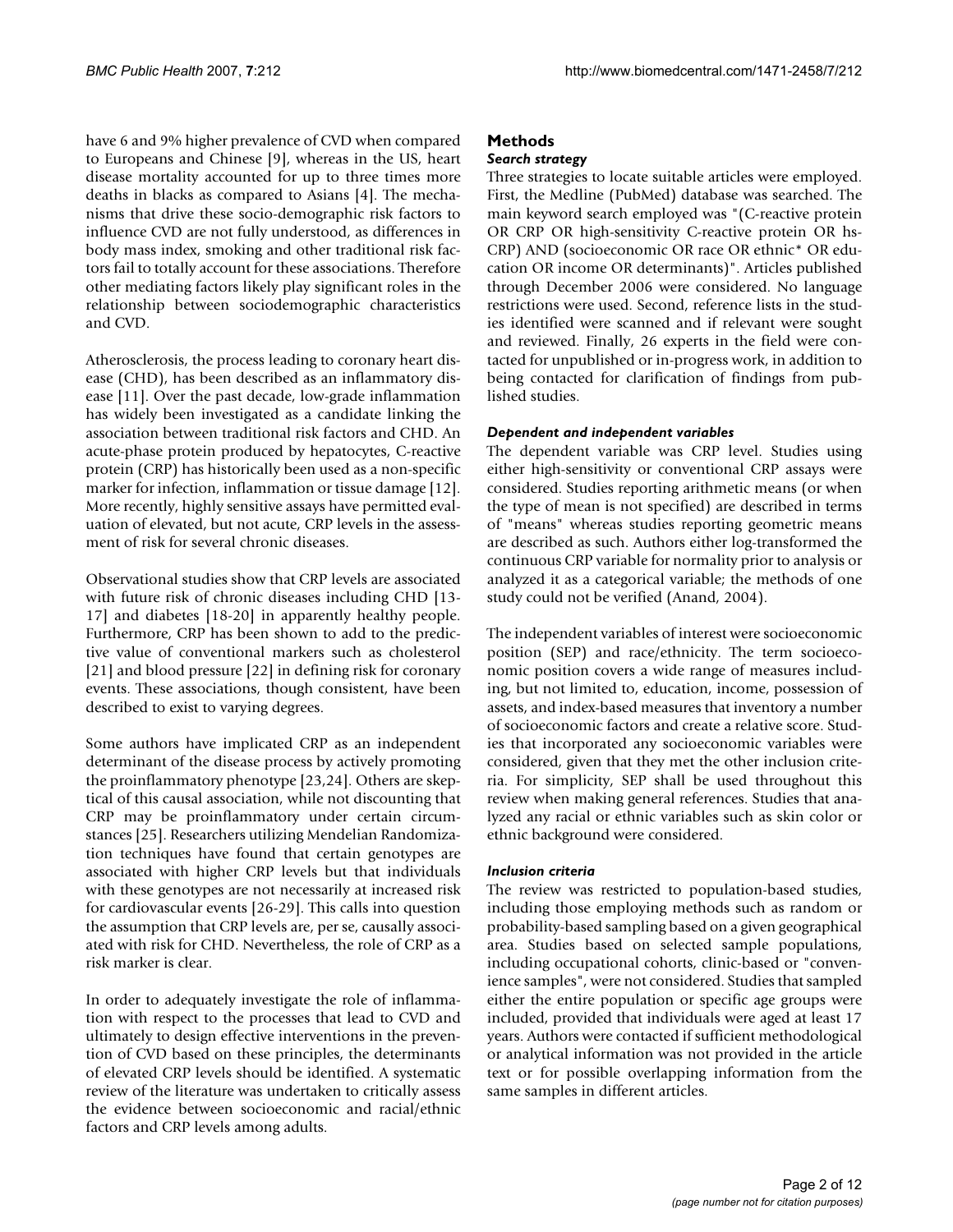have 6 and 9% higher prevalence of CVD when compared to Europeans and Chinese [9], whereas in the US, heart disease mortality accounted for up to three times more deaths in blacks as compared to Asians [4]. The mechanisms that drive these socio-demographic risk factors to influence CVD are not fully understood, as differences in body mass index, smoking and other traditional risk factors fail to totally account for these associations. Therefore other mediating factors likely play significant roles in the relationship between sociodemographic characteristics and CVD.

Atherosclerosis, the process leading to coronary heart disease (CHD), has been described as an inflammatory disease [11]. Over the past decade, low-grade inflammation has widely been investigated as a candidate linking the association between traditional risk factors and CHD. An acute-phase protein produced by hepatocytes, C-reactive protein (CRP) has historically been used as a non-specific marker for infection, inflammation or tissue damage [12]. More recently, highly sensitive assays have permitted evaluation of elevated, but not acute, CRP levels in the assessment of risk for several chronic diseases.

Observational studies show that CRP levels are associated with future risk of chronic diseases including CHD [13- 17] and diabetes [18-20] in apparently healthy people. Furthermore, CRP has been shown to add to the predictive value of conventional markers such as cholesterol [21] and blood pressure [22] in defining risk for coronary events. These associations, though consistent, have been described to exist to varying degrees.

Some authors have implicated CRP as an independent determinant of the disease process by actively promoting the proinflammatory phenotype [23,24]. Others are skeptical of this causal association, while not discounting that CRP may be proinflammatory under certain circumstances [25]. Researchers utilizing Mendelian Randomization techniques have found that certain genotypes are associated with higher CRP levels but that individuals with these genotypes are not necessarily at increased risk for cardiovascular events [26-29]. This calls into question the assumption that CRP levels are, per se, causally associated with risk for CHD. Nevertheless, the role of CRP as a risk marker is clear.

In order to adequately investigate the role of inflammation with respect to the processes that lead to CVD and ultimately to design effective interventions in the prevention of CVD based on these principles, the determinants of elevated CRP levels should be identified. A systematic review of the literature was undertaken to critically assess the evidence between socioeconomic and racial/ethnic factors and CRP levels among adults.

# **Methods**

## *Search strategy*

Three strategies to locate suitable articles were employed. First, the Medline (PubMed) database was searched. The main keyword search employed was "(C-reactive protein OR CRP OR high-sensitivity C-reactive protein OR hs-CRP) AND (socioeconomic OR race OR ethnic\* OR education OR income OR determinants)". Articles published through December 2006 were considered. No language restrictions were used. Second, reference lists in the studies identified were scanned and if relevant were sought and reviewed. Finally, 26 experts in the field were contacted for unpublished or in-progress work, in addition to being contacted for clarification of findings from published studies.

## *Dependent and independent variables*

The dependent variable was CRP level. Studies using either high-sensitivity or conventional CRP assays were considered. Studies reporting arithmetic means (or when the type of mean is not specified) are described in terms of "means" whereas studies reporting geometric means are described as such. Authors either log-transformed the continuous CRP variable for normality prior to analysis or analyzed it as a categorical variable; the methods of one study could not be verified (Anand, 2004).

The independent variables of interest were socioeconomic position (SEP) and race/ethnicity. The term socioeconomic position covers a wide range of measures including, but not limited to, education, income, possession of assets, and index-based measures that inventory a number of socioeconomic factors and create a relative score. Studies that incorporated any socioeconomic variables were considered, given that they met the other inclusion criteria. For simplicity, SEP shall be used throughout this review when making general references. Studies that analyzed any racial or ethnic variables such as skin color or ethnic background were considered.

#### *Inclusion criteria*

The review was restricted to population-based studies, including those employing methods such as random or probability-based sampling based on a given geographical area. Studies based on selected sample populations, including occupational cohorts, clinic-based or "convenience samples", were not considered. Studies that sampled either the entire population or specific age groups were included, provided that individuals were aged at least 17 years. Authors were contacted if sufficient methodological or analytical information was not provided in the article text or for possible overlapping information from the same samples in different articles.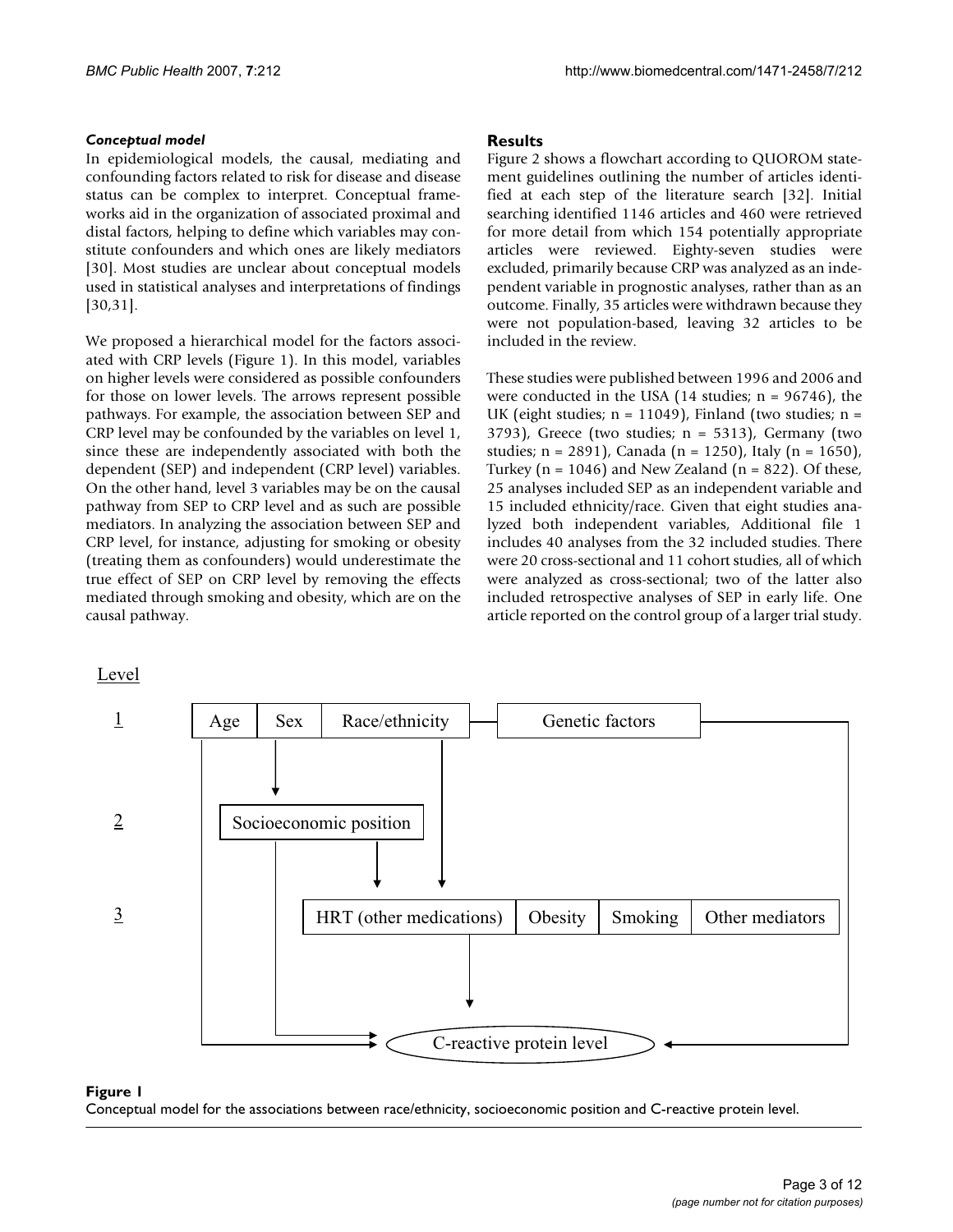### *Conceptual model*

In epidemiological models, the causal, mediating and confounding factors related to risk for disease and disease status can be complex to interpret. Conceptual frameworks aid in the organization of associated proximal and distal factors, helping to define which variables may constitute confounders and which ones are likely mediators [30]. Most studies are unclear about conceptual models used in statistical analyses and interpretations of findings [30,31].

We proposed a hierarchical model for the factors associated with CRP levels (Figure 1). In this model, variables on higher levels were considered as possible confounders for those on lower levels. The arrows represent possible pathways. For example, the association between SEP and CRP level may be confounded by the variables on level 1, since these are independently associated with both the dependent (SEP) and independent (CRP level) variables. On the other hand, level 3 variables may be on the causal pathway from SEP to CRP level and as such are possible mediators. In analyzing the association between SEP and CRP level, for instance, adjusting for smoking or obesity (treating them as confounders) would underestimate the true effect of SEP on CRP level by removing the effects mediated through smoking and obesity, which are on the causal pathway.

## **Results**

Figure 2 shows a flowchart according to QUOROM statement guidelines outlining the number of articles identified at each step of the literature search [32]. Initial searching identified 1146 articles and 460 were retrieved for more detail from which 154 potentially appropriate articles were reviewed. Eighty-seven studies were excluded, primarily because CRP was analyzed as an independent variable in prognostic analyses, rather than as an outcome. Finally, 35 articles were withdrawn because they were not population-based, leaving 32 articles to be included in the review.

These studies were published between 1996 and 2006 and were conducted in the USA (14 studies;  $n = 96746$ ), the UK (eight studies;  $n = 11049$ ), Finland (two studies;  $n =$  $3793$ ), Greece (two studies;  $n = 5313$ ), Germany (two studies; n = 2891), Canada (n = 1250), Italy (n = 1650), Turkey ( $n = 1046$ ) and New Zealand ( $n = 822$ ). Of these, 25 analyses included SEP as an independent variable and 15 included ethnicity/race. Given that eight studies analyzed both independent variables, Additional file 1 includes 40 analyses from the 32 included studies. There were 20 cross-sectional and 11 cohort studies, all of which were analyzed as cross-sectional; two of the latter also included retrospective analyses of SEP in early life. One article reported on the control group of a larger trial study.



#### Conceptual model for the asso **Figure 1** ciations between race/ethnicity, socioeconomic position and C-reactive protein level

Conceptual model for the associations between race/ethnicity, socioeconomic position and C-reactive protein level.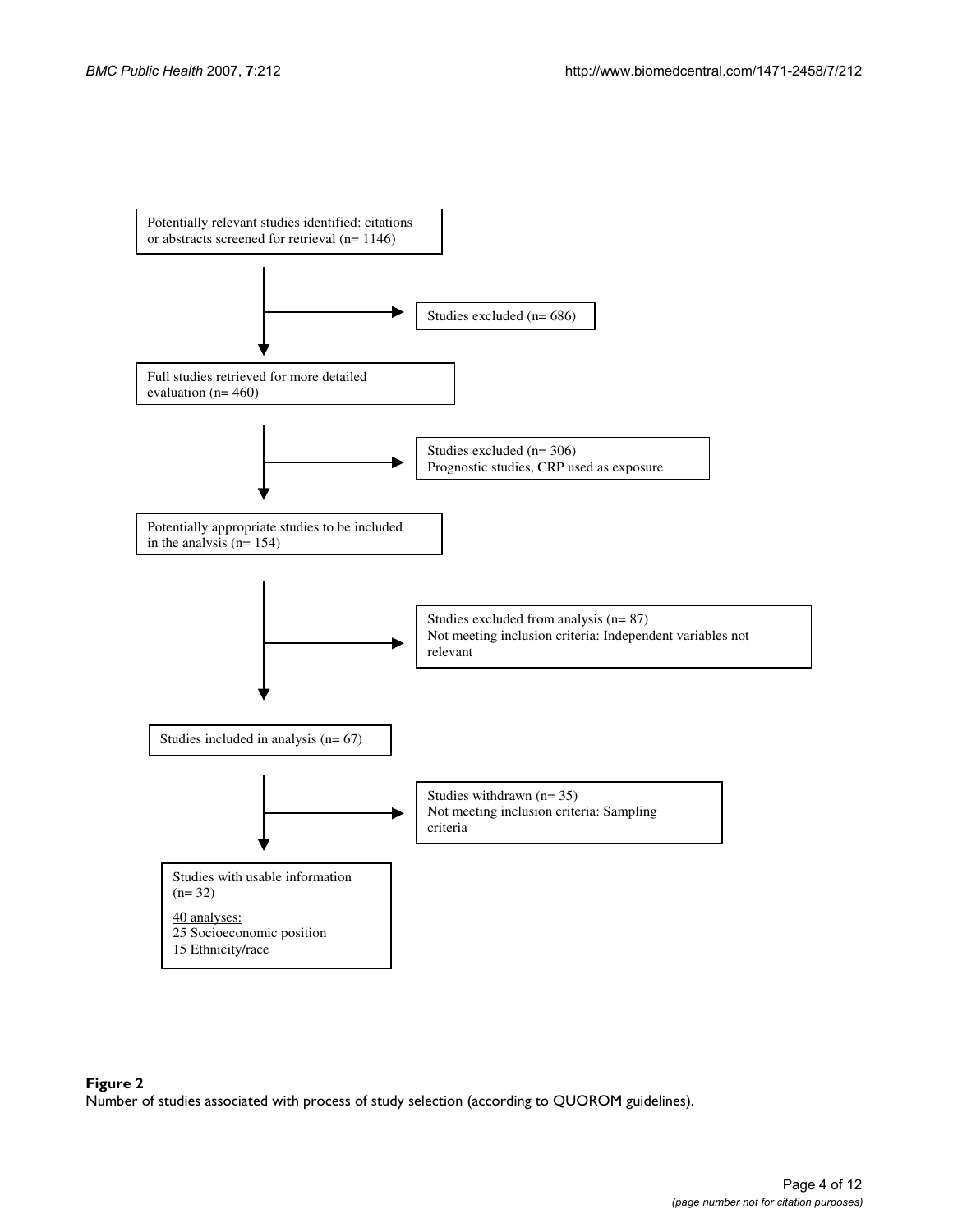

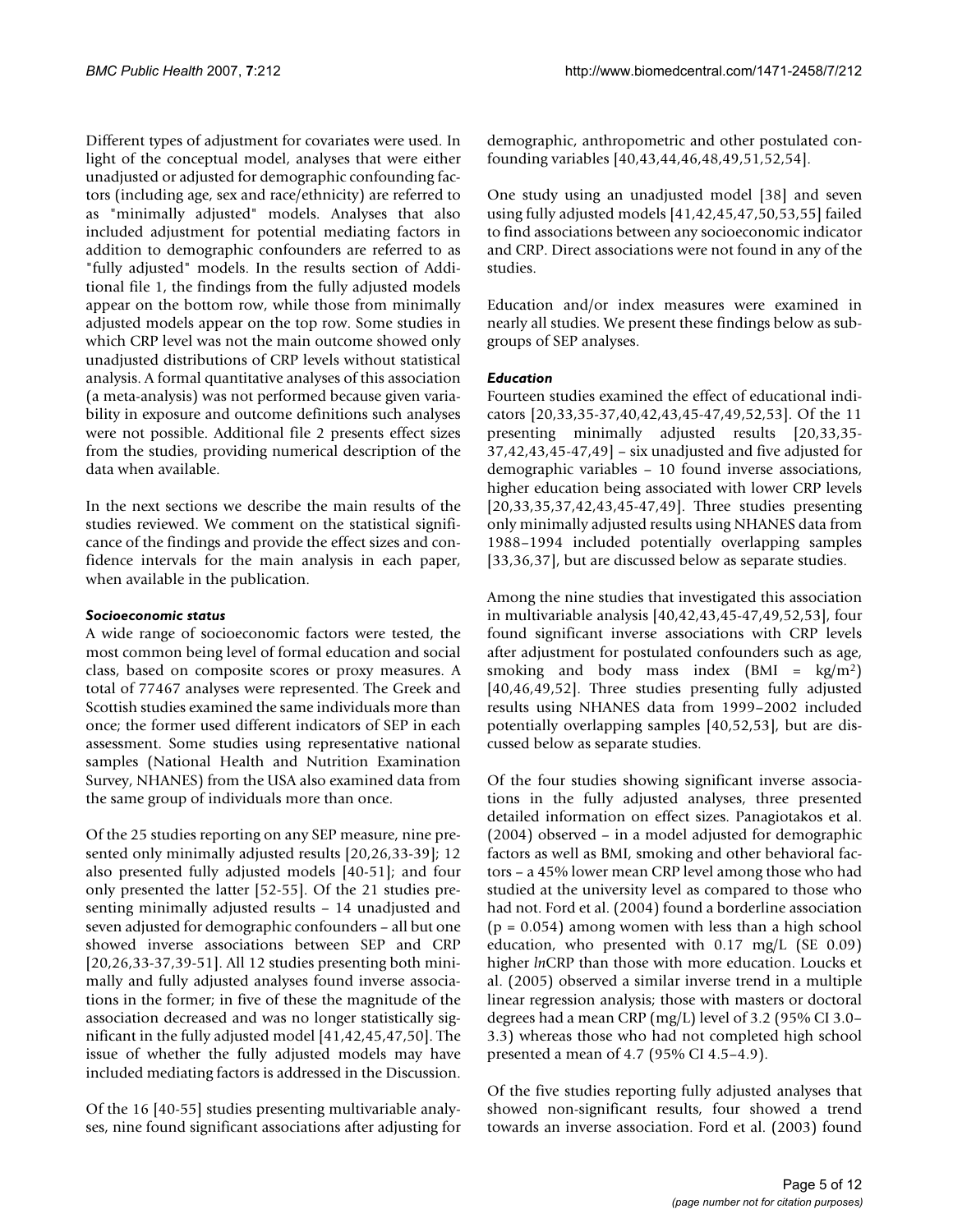Different types of adjustment for covariates were used. In light of the conceptual model, analyses that were either unadjusted or adjusted for demographic confounding factors (including age, sex and race/ethnicity) are referred to as "minimally adjusted" models. Analyses that also included adjustment for potential mediating factors in addition to demographic confounders are referred to as "fully adjusted" models. In the results section of Additional file 1, the findings from the fully adjusted models appear on the bottom row, while those from minimally adjusted models appear on the top row. Some studies in which CRP level was not the main outcome showed only unadjusted distributions of CRP levels without statistical analysis. A formal quantitative analyses of this association (a meta-analysis) was not performed because given variability in exposure and outcome definitions such analyses were not possible. Additional file 2 presents effect sizes from the studies, providing numerical description of the data when available.

In the next sections we describe the main results of the studies reviewed. We comment on the statistical significance of the findings and provide the effect sizes and confidence intervals for the main analysis in each paper, when available in the publication.

#### *Socioeconomic status*

A wide range of socioeconomic factors were tested, the most common being level of formal education and social class, based on composite scores or proxy measures. A total of 77467 analyses were represented. The Greek and Scottish studies examined the same individuals more than once; the former used different indicators of SEP in each assessment. Some studies using representative national samples (National Health and Nutrition Examination Survey, NHANES) from the USA also examined data from the same group of individuals more than once.

Of the 25 studies reporting on any SEP measure, nine presented only minimally adjusted results [20,26,33-39]; 12 also presented fully adjusted models [40-51]; and four only presented the latter [52-55]. Of the 21 studies presenting minimally adjusted results – 14 unadjusted and seven adjusted for demographic confounders – all but one showed inverse associations between SEP and CRP [20,26,33-37,39-51]. All 12 studies presenting both minimally and fully adjusted analyses found inverse associations in the former; in five of these the magnitude of the association decreased and was no longer statistically significant in the fully adjusted model [41,42,45,47,50]. The issue of whether the fully adjusted models may have included mediating factors is addressed in the Discussion.

Of the 16 [40-55] studies presenting multivariable analyses, nine found significant associations after adjusting for demographic, anthropometric and other postulated confounding variables [40,43,44,46,48,49,51,52,54].

One study using an unadjusted model [38] and seven using fully adjusted models [41,42,45,47,50,53,55] failed to find associations between any socioeconomic indicator and CRP. Direct associations were not found in any of the studies.

Education and/or index measures were examined in nearly all studies. We present these findings below as subgroups of SEP analyses.

#### *Education*

Fourteen studies examined the effect of educational indicators [20,33,35-37,40,42,43,45-47,49,52,53]. Of the 11 presenting minimally adjusted results [20,33,35- 37,42,43,45-47,49] – six unadjusted and five adjusted for demographic variables – 10 found inverse associations, higher education being associated with lower CRP levels [20,33,35,37,42,43,45-47,49]. Three studies presenting only minimally adjusted results using NHANES data from 1988–1994 included potentially overlapping samples [33,36,37], but are discussed below as separate studies.

Among the nine studies that investigated this association in multivariable analysis [40,42,43,45-47,49,52,53], four found significant inverse associations with CRP levels after adjustment for postulated confounders such as age, smoking and body mass index  $(BMI = kg/m<sup>2</sup>)$ [40,46,49,52]. Three studies presenting fully adjusted results using NHANES data from 1999–2002 included potentially overlapping samples [40,52,53], but are discussed below as separate studies.

Of the four studies showing significant inverse associations in the fully adjusted analyses, three presented detailed information on effect sizes. Panagiotakos et al. (2004) observed – in a model adjusted for demographic factors as well as BMI, smoking and other behavioral factors – a 45% lower mean CRP level among those who had studied at the university level as compared to those who had not. Ford et al. (2004) found a borderline association  $(p = 0.054)$  among women with less than a high school education, who presented with 0.17 mg/L (SE 0.09) higher *ln*CRP than those with more education. Loucks et al. (2005) observed a similar inverse trend in a multiple linear regression analysis; those with masters or doctoral degrees had a mean CRP (mg/L) level of 3.2 (95% CI 3.0– 3.3) whereas those who had not completed high school presented a mean of 4.7 (95% CI 4.5–4.9).

Of the five studies reporting fully adjusted analyses that showed non-significant results, four showed a trend towards an inverse association. Ford et al. (2003) found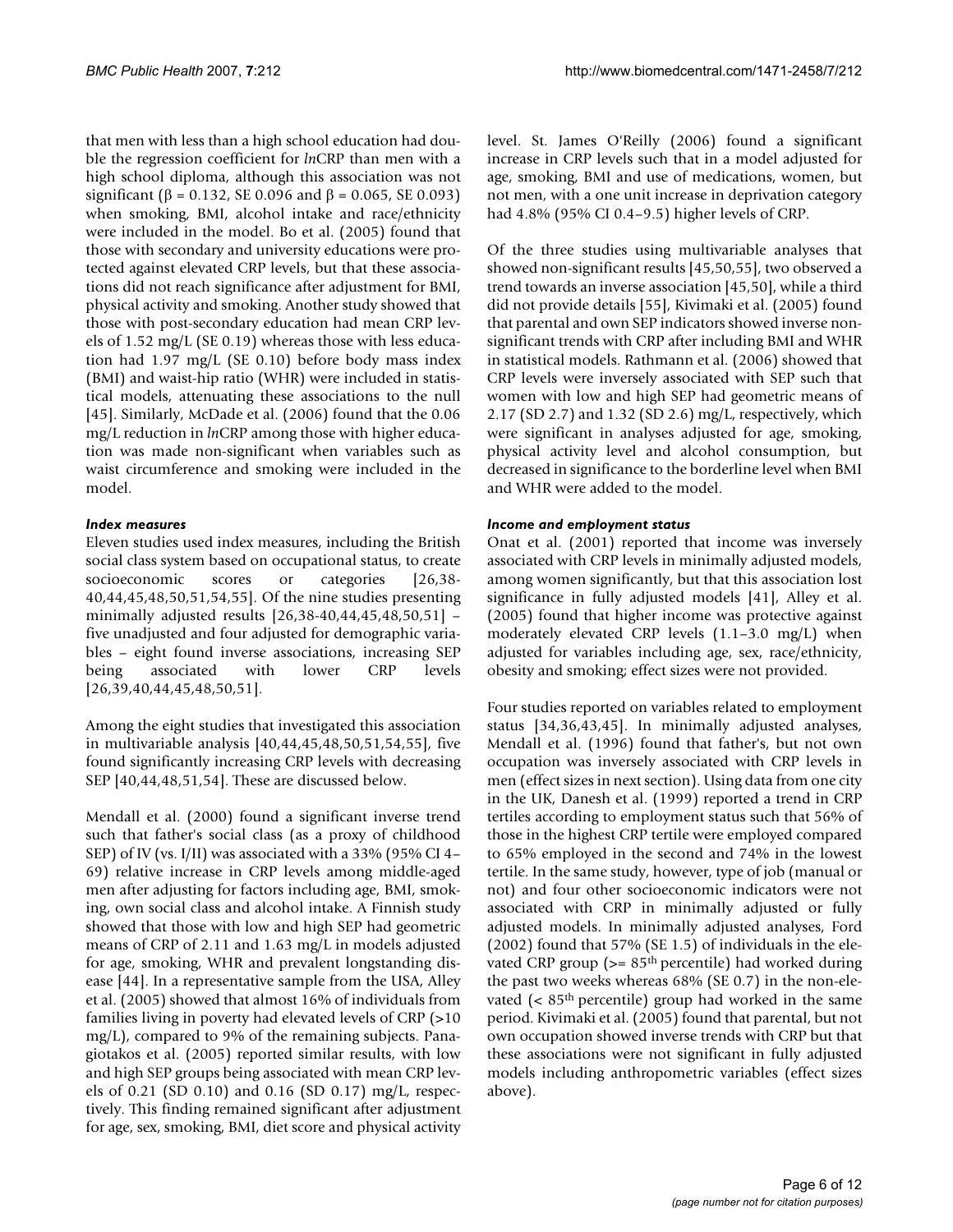that men with less than a high school education had double the regression coefficient for *ln*CRP than men with a high school diploma, although this association was not significant (β = 0.132, SE 0.096 and β = 0.065, SE 0.093) when smoking, BMI, alcohol intake and race/ethnicity were included in the model. Bo et al. (2005) found that those with secondary and university educations were protected against elevated CRP levels, but that these associations did not reach significance after adjustment for BMI, physical activity and smoking. Another study showed that those with post-secondary education had mean CRP levels of 1.52 mg/L (SE 0.19) whereas those with less education had 1.97 mg/L (SE 0.10) before body mass index (BMI) and waist-hip ratio (WHR) were included in statistical models, attenuating these associations to the null [45]. Similarly, McDade et al. (2006) found that the 0.06 mg/L reduction in *ln*CRP among those with higher education was made non-significant when variables such as waist circumference and smoking were included in the model.

#### *Index measures*

Eleven studies used index measures, including the British social class system based on occupational status, to create socioeconomic scores or categories [26,38-40,44,45,48,50,51,54,55]. Of the nine studies presenting minimally adjusted results [26,38-40,44,45,48,50,51] – five unadjusted and four adjusted for demographic variables – eight found inverse associations, increasing SEP being associated with lower CRP levels [26,39,40,44,45,48,50,51].

Among the eight studies that investigated this association in multivariable analysis [40,44,45,48,50,51,54,55], five found significantly increasing CRP levels with decreasing SEP [40,44,48,51,54]. These are discussed below.

Mendall et al. (2000) found a significant inverse trend such that father's social class (as a proxy of childhood SEP) of IV (vs. I/II) was associated with a 33% (95% CI 4– 69) relative increase in CRP levels among middle-aged men after adjusting for factors including age, BMI, smoking, own social class and alcohol intake. A Finnish study showed that those with low and high SEP had geometric means of CRP of 2.11 and 1.63 mg/L in models adjusted for age, smoking, WHR and prevalent longstanding disease [44]. In a representative sample from the USA, Alley et al. (2005) showed that almost 16% of individuals from families living in poverty had elevated levels of CRP (>10 mg/L), compared to 9% of the remaining subjects. Panagiotakos et al. (2005) reported similar results, with low and high SEP groups being associated with mean CRP levels of 0.21 (SD 0.10) and 0.16 (SD 0.17) mg/L, respectively. This finding remained significant after adjustment for age, sex, smoking, BMI, diet score and physical activity

level. St. James O'Reilly (2006) found a significant increase in CRP levels such that in a model adjusted for age, smoking, BMI and use of medications, women, but not men, with a one unit increase in deprivation category had 4.8% (95% CI 0.4–9.5) higher levels of CRP.

Of the three studies using multivariable analyses that showed non-significant results [45,50,55], two observed a trend towards an inverse association [45,50], while a third did not provide details [55], Kivimaki et al. (2005) found that parental and own SEP indicators showed inverse nonsignificant trends with CRP after including BMI and WHR in statistical models. Rathmann et al. (2006) showed that CRP levels were inversely associated with SEP such that women with low and high SEP had geometric means of 2.17 (SD 2.7) and 1.32 (SD 2.6) mg/L, respectively, which were significant in analyses adjusted for age, smoking, physical activity level and alcohol consumption, but decreased in significance to the borderline level when BMI and WHR were added to the model.

#### *Income and employment status*

Onat et al. (2001) reported that income was inversely associated with CRP levels in minimally adjusted models, among women significantly, but that this association lost significance in fully adjusted models [41], Alley et al. (2005) found that higher income was protective against moderately elevated CRP levels (1.1–3.0 mg/L) when adjusted for variables including age, sex, race/ethnicity, obesity and smoking; effect sizes were not provided.

Four studies reported on variables related to employment status [34,36,43,45]. In minimally adjusted analyses, Mendall et al. (1996) found that father's, but not own occupation was inversely associated with CRP levels in men (effect sizes in next section). Using data from one city in the UK, Danesh et al. (1999) reported a trend in CRP tertiles according to employment status such that 56% of those in the highest CRP tertile were employed compared to 65% employed in the second and 74% in the lowest tertile. In the same study, however, type of job (manual or not) and four other socioeconomic indicators were not associated with CRP in minimally adjusted or fully adjusted models. In minimally adjusted analyses, Ford (2002) found that 57% (SE 1.5) of individuals in the elevated CRP group ( $> = 85<sup>th</sup>$  percentile) had worked during the past two weeks whereas 68% (SE 0.7) in the non-elevated (< 85th percentile) group had worked in the same period. Kivimaki et al. (2005) found that parental, but not own occupation showed inverse trends with CRP but that these associations were not significant in fully adjusted models including anthropometric variables (effect sizes above).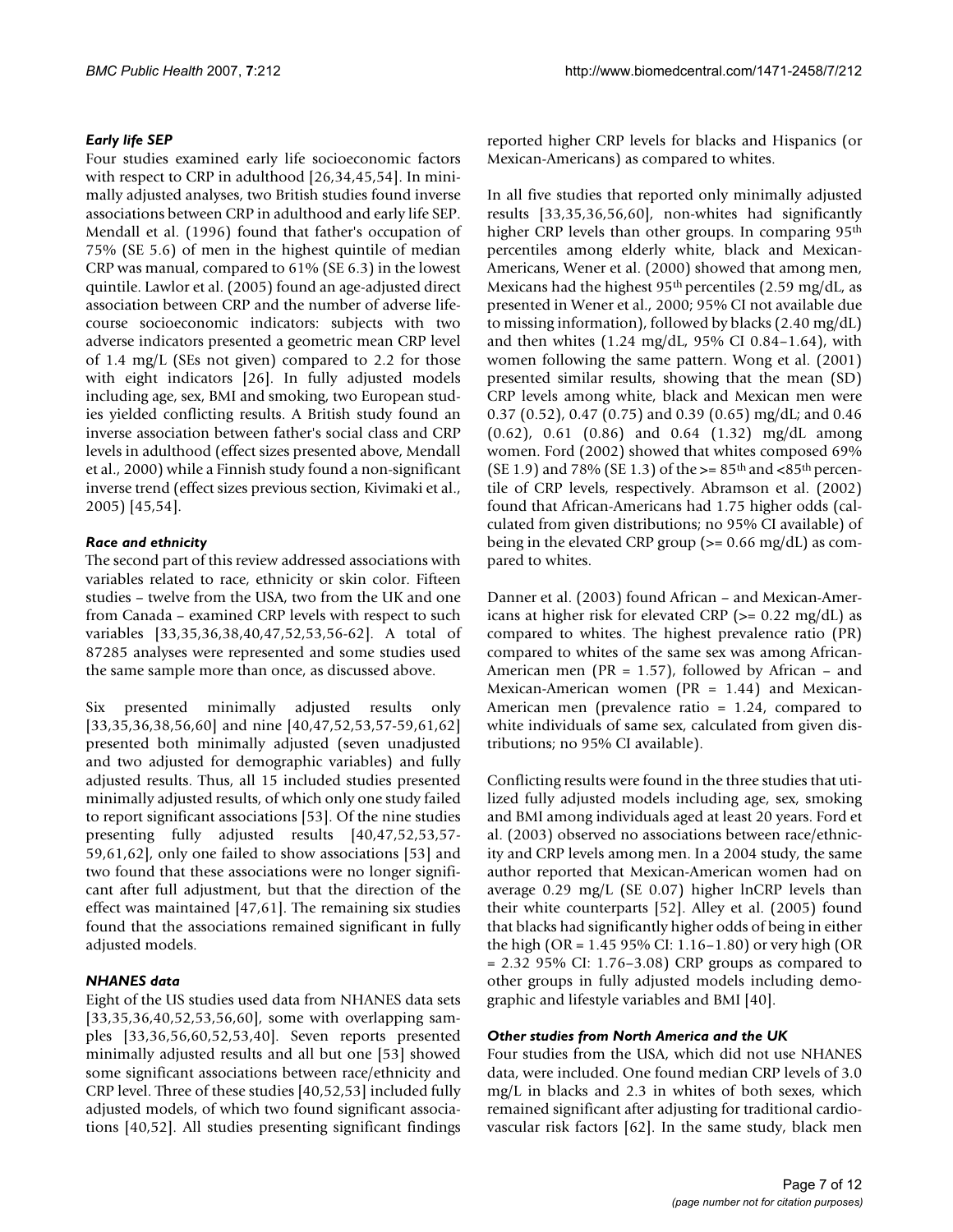## *Early life SEP*

Four studies examined early life socioeconomic factors with respect to CRP in adulthood [26,34,45,54]. In minimally adjusted analyses, two British studies found inverse associations between CRP in adulthood and early life SEP. Mendall et al. (1996) found that father's occupation of 75% (SE 5.6) of men in the highest quintile of median CRP was manual, compared to 61% (SE 6.3) in the lowest quintile. Lawlor et al. (2005) found an age-adjusted direct association between CRP and the number of adverse lifecourse socioeconomic indicators: subjects with two adverse indicators presented a geometric mean CRP level of 1.4 mg/L (SEs not given) compared to 2.2 for those with eight indicators [26]. In fully adjusted models including age, sex, BMI and smoking, two European studies yielded conflicting results. A British study found an inverse association between father's social class and CRP levels in adulthood (effect sizes presented above, Mendall et al., 2000) while a Finnish study found a non-significant inverse trend (effect sizes previous section, Kivimaki et al., 2005) [45,54].

## *Race and ethnicity*

The second part of this review addressed associations with variables related to race, ethnicity or skin color. Fifteen studies – twelve from the USA, two from the UK and one from Canada – examined CRP levels with respect to such variables [33,35,36,38,40,47,52,53,56-62]. A total of 87285 analyses were represented and some studies used the same sample more than once, as discussed above.

Six presented minimally adjusted results only [33,35,36,38,56,60] and nine [40,47,52,53,57-59,61,62] presented both minimally adjusted (seven unadjusted and two adjusted for demographic variables) and fully adjusted results. Thus, all 15 included studies presented minimally adjusted results, of which only one study failed to report significant associations [53]. Of the nine studies presenting fully adjusted results [40,47,52,53,57- 59,61,62], only one failed to show associations [53] and two found that these associations were no longer significant after full adjustment, but that the direction of the effect was maintained [47,61]. The remaining six studies found that the associations remained significant in fully adjusted models.

## *NHANES data*

Eight of the US studies used data from NHANES data sets [33,35,36,40,52,53,56,60], some with overlapping samples [33,36,56,60,52,53,40]. Seven reports presented minimally adjusted results and all but one [53] showed some significant associations between race/ethnicity and CRP level. Three of these studies [40,52,53] included fully adjusted models, of which two found significant associations [40,52]. All studies presenting significant findings

reported higher CRP levels for blacks and Hispanics (or Mexican-Americans) as compared to whites.

In all five studies that reported only minimally adjusted results [33,35,36,56,60], non-whites had significantly higher CRP levels than other groups. In comparing 95th percentiles among elderly white, black and Mexican-Americans, Wener et al. (2000) showed that among men, Mexicans had the highest 95th percentiles (2.59 mg/dL, as presented in Wener et al., 2000; 95% CI not available due to missing information), followed by blacks (2.40 mg/dL) and then whites (1.24 mg/dL, 95% CI 0.84–1.64), with women following the same pattern. Wong et al. (2001) presented similar results, showing that the mean (SD) CRP levels among white, black and Mexican men were 0.37 (0.52), 0.47 (0.75) and 0.39 (0.65) mg/dL; and 0.46 (0.62), 0.61 (0.86) and 0.64 (1.32) mg/dL among women. Ford (2002) showed that whites composed 69% (SE 1.9) and 78% (SE 1.3) of the  $> = 85$ <sup>th</sup> and <85<sup>th</sup> percentile of CRP levels, respectively. Abramson et al. (2002) found that African-Americans had 1.75 higher odds (calculated from given distributions; no 95% CI available) of being in the elevated CRP group ( $> = 0.66$  mg/dL) as compared to whites.

Danner et al. (2003) found African – and Mexican-Americans at higher risk for elevated CRP ( $> = 0.22$  mg/dL) as compared to whites. The highest prevalence ratio (PR) compared to whites of the same sex was among African-American men (PR = 1.57), followed by African – and Mexican-American women (PR = 1.44) and Mexican-American men (prevalence ratio = 1.24, compared to white individuals of same sex, calculated from given distributions; no 95% CI available).

Conflicting results were found in the three studies that utilized fully adjusted models including age, sex, smoking and BMI among individuals aged at least 20 years. Ford et al. (2003) observed no associations between race/ethnicity and CRP levels among men. In a 2004 study, the same author reported that Mexican-American women had on average 0.29 mg/L (SE 0.07) higher lnCRP levels than their white counterparts [52]. Alley et al. (2005) found that blacks had significantly higher odds of being in either the high (OR = 1.45 95% CI: 1.16–1.80) or very high (OR = 2.32 95% CI: 1.76–3.08) CRP groups as compared to other groups in fully adjusted models including demographic and lifestyle variables and BMI [40].

## *Other studies from North America and the UK*

Four studies from the USA, which did not use NHANES data, were included. One found median CRP levels of 3.0 mg/L in blacks and 2.3 in whites of both sexes, which remained significant after adjusting for traditional cardiovascular risk factors [62]. In the same study, black men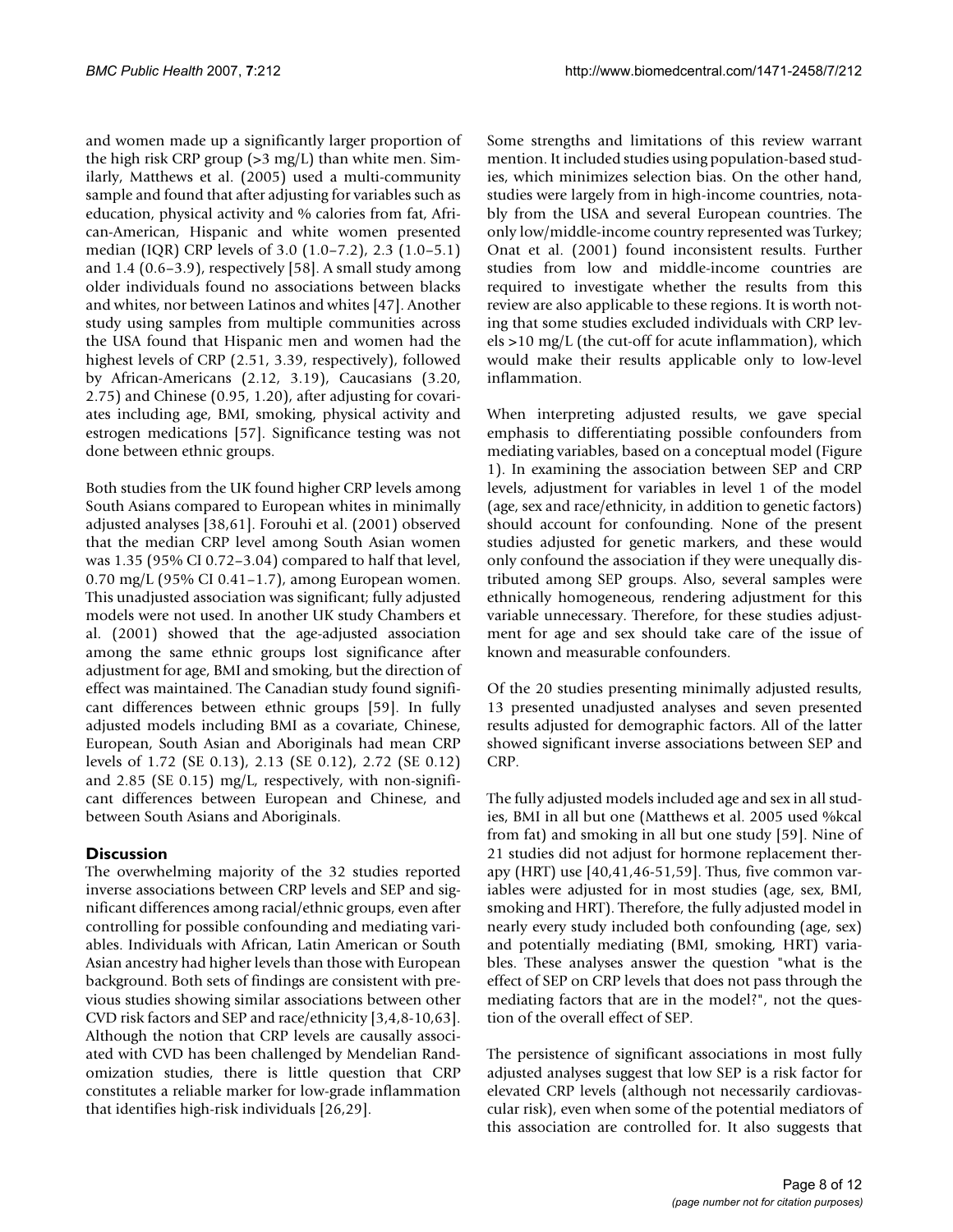and women made up a significantly larger proportion of the high risk CRP group (>3 mg/L) than white men. Similarly, Matthews et al. (2005) used a multi-community sample and found that after adjusting for variables such as education, physical activity and % calories from fat, African-American, Hispanic and white women presented median (IQR) CRP levels of 3.0 (1.0–7.2), 2.3 (1.0–5.1) and 1.4 (0.6–3.9), respectively [58]. A small study among older individuals found no associations between blacks and whites, nor between Latinos and whites [47]. Another study using samples from multiple communities across the USA found that Hispanic men and women had the highest levels of CRP (2.51, 3.39, respectively), followed by African-Americans (2.12, 3.19), Caucasians (3.20, 2.75) and Chinese (0.95, 1.20), after adjusting for covariates including age, BMI, smoking, physical activity and estrogen medications [57]. Significance testing was not done between ethnic groups.

Both studies from the UK found higher CRP levels among South Asians compared to European whites in minimally adjusted analyses [38,61]. Forouhi et al. (2001) observed that the median CRP level among South Asian women was 1.35 (95% CI 0.72–3.04) compared to half that level, 0.70 mg/L (95% CI 0.41–1.7), among European women. This unadjusted association was significant; fully adjusted models were not used. In another UK study Chambers et al. (2001) showed that the age-adjusted association among the same ethnic groups lost significance after adjustment for age, BMI and smoking, but the direction of effect was maintained. The Canadian study found significant differences between ethnic groups [59]. In fully adjusted models including BMI as a covariate, Chinese, European, South Asian and Aboriginals had mean CRP levels of 1.72 (SE 0.13), 2.13 (SE 0.12), 2.72 (SE 0.12) and 2.85 (SE 0.15) mg/L, respectively, with non-significant differences between European and Chinese, and between South Asians and Aboriginals.

## **Discussion**

The overwhelming majority of the 32 studies reported inverse associations between CRP levels and SEP and significant differences among racial/ethnic groups, even after controlling for possible confounding and mediating variables. Individuals with African, Latin American or South Asian ancestry had higher levels than those with European background. Both sets of findings are consistent with previous studies showing similar associations between other CVD risk factors and SEP and race/ethnicity [3,4,8-10,63]. Although the notion that CRP levels are causally associated with CVD has been challenged by Mendelian Randomization studies, there is little question that CRP constitutes a reliable marker for low-grade inflammation that identifies high-risk individuals [26,29].

Some strengths and limitations of this review warrant mention. It included studies using population-based studies, which minimizes selection bias. On the other hand, studies were largely from in high-income countries, notably from the USA and several European countries. The only low/middle-income country represented was Turkey; Onat et al. (2001) found inconsistent results. Further studies from low and middle-income countries are required to investigate whether the results from this review are also applicable to these regions. It is worth noting that some studies excluded individuals with CRP levels >10 mg/L (the cut-off for acute inflammation), which would make their results applicable only to low-level inflammation.

When interpreting adjusted results, we gave special emphasis to differentiating possible confounders from mediating variables, based on a conceptual model (Figure 1). In examining the association between SEP and CRP levels, adjustment for variables in level 1 of the model (age, sex and race/ethnicity, in addition to genetic factors) should account for confounding. None of the present studies adjusted for genetic markers, and these would only confound the association if they were unequally distributed among SEP groups. Also, several samples were ethnically homogeneous, rendering adjustment for this variable unnecessary. Therefore, for these studies adjustment for age and sex should take care of the issue of known and measurable confounders.

Of the 20 studies presenting minimally adjusted results, 13 presented unadjusted analyses and seven presented results adjusted for demographic factors. All of the latter showed significant inverse associations between SEP and CRP.

The fully adjusted models included age and sex in all studies, BMI in all but one (Matthews et al. 2005 used %kcal from fat) and smoking in all but one study [59]. Nine of 21 studies did not adjust for hormone replacement therapy (HRT) use [40,41,46-51,59]. Thus, five common variables were adjusted for in most studies (age, sex, BMI, smoking and HRT). Therefore, the fully adjusted model in nearly every study included both confounding (age, sex) and potentially mediating (BMI, smoking, HRT) variables. These analyses answer the question "what is the effect of SEP on CRP levels that does not pass through the mediating factors that are in the model?", not the question of the overall effect of SEP.

The persistence of significant associations in most fully adjusted analyses suggest that low SEP is a risk factor for elevated CRP levels (although not necessarily cardiovascular risk), even when some of the potential mediators of this association are controlled for. It also suggests that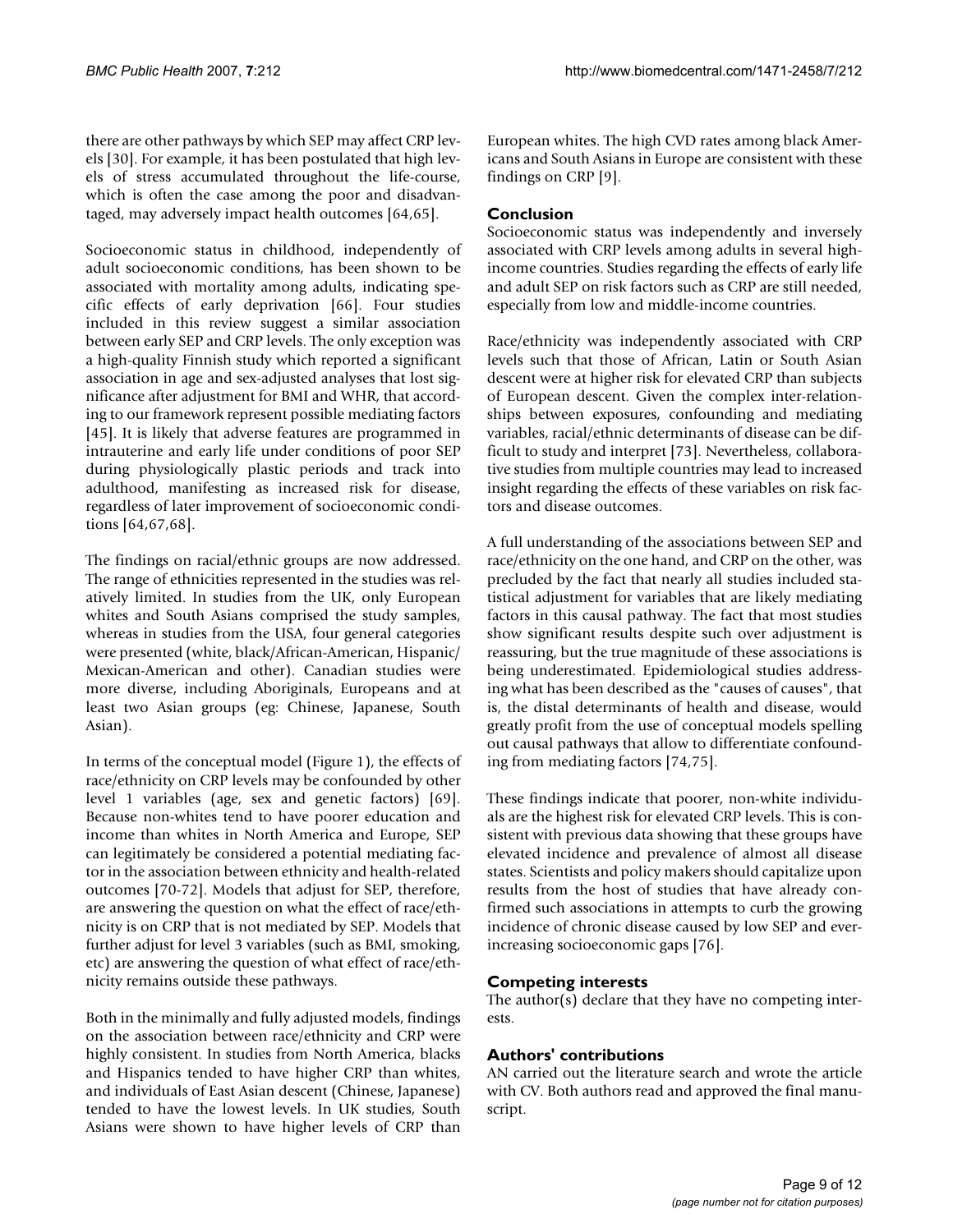there are other pathways by which SEP may affect CRP levels [30]. For example, it has been postulated that high levels of stress accumulated throughout the life-course, which is often the case among the poor and disadvantaged, may adversely impact health outcomes [64,65].

Socioeconomic status in childhood, independently of adult socioeconomic conditions, has been shown to be associated with mortality among adults, indicating specific effects of early deprivation [66]. Four studies included in this review suggest a similar association between early SEP and CRP levels. The only exception was a high-quality Finnish study which reported a significant association in age and sex-adjusted analyses that lost significance after adjustment for BMI and WHR, that according to our framework represent possible mediating factors [45]. It is likely that adverse features are programmed in intrauterine and early life under conditions of poor SEP during physiologically plastic periods and track into adulthood, manifesting as increased risk for disease, regardless of later improvement of socioeconomic conditions [64,67,68].

The findings on racial/ethnic groups are now addressed. The range of ethnicities represented in the studies was relatively limited. In studies from the UK, only European whites and South Asians comprised the study samples, whereas in studies from the USA, four general categories were presented (white, black/African-American, Hispanic/ Mexican-American and other). Canadian studies were more diverse, including Aboriginals, Europeans and at least two Asian groups (eg: Chinese, Japanese, South Asian).

In terms of the conceptual model (Figure 1), the effects of race/ethnicity on CRP levels may be confounded by other level 1 variables (age, sex and genetic factors) [69]. Because non-whites tend to have poorer education and income than whites in North America and Europe, SEP can legitimately be considered a potential mediating factor in the association between ethnicity and health-related outcomes [70-72]. Models that adjust for SEP, therefore, are answering the question on what the effect of race/ethnicity is on CRP that is not mediated by SEP. Models that further adjust for level 3 variables (such as BMI, smoking, etc) are answering the question of what effect of race/ethnicity remains outside these pathways.

Both in the minimally and fully adjusted models, findings on the association between race/ethnicity and CRP were highly consistent. In studies from North America, blacks and Hispanics tended to have higher CRP than whites, and individuals of East Asian descent (Chinese, Japanese) tended to have the lowest levels. In UK studies, South Asians were shown to have higher levels of CRP than

European whites. The high CVD rates among black Americans and South Asians in Europe are consistent with these findings on CRP [9].

## **Conclusion**

Socioeconomic status was independently and inversely associated with CRP levels among adults in several highincome countries. Studies regarding the effects of early life and adult SEP on risk factors such as CRP are still needed, especially from low and middle-income countries.

Race/ethnicity was independently associated with CRP levels such that those of African, Latin or South Asian descent were at higher risk for elevated CRP than subjects of European descent. Given the complex inter-relationships between exposures, confounding and mediating variables, racial/ethnic determinants of disease can be difficult to study and interpret [73]. Nevertheless, collaborative studies from multiple countries may lead to increased insight regarding the effects of these variables on risk factors and disease outcomes.

A full understanding of the associations between SEP and race/ethnicity on the one hand, and CRP on the other, was precluded by the fact that nearly all studies included statistical adjustment for variables that are likely mediating factors in this causal pathway. The fact that most studies show significant results despite such over adjustment is reassuring, but the true magnitude of these associations is being underestimated. Epidemiological studies addressing what has been described as the "causes of causes", that is, the distal determinants of health and disease, would greatly profit from the use of conceptual models spelling out causal pathways that allow to differentiate confounding from mediating factors [74,75].

These findings indicate that poorer, non-white individuals are the highest risk for elevated CRP levels. This is consistent with previous data showing that these groups have elevated incidence and prevalence of almost all disease states. Scientists and policy makers should capitalize upon results from the host of studies that have already confirmed such associations in attempts to curb the growing incidence of chronic disease caused by low SEP and everincreasing socioeconomic gaps [76].

## **Competing interests**

The author(s) declare that they have no competing interests.

## **Authors' contributions**

AN carried out the literature search and wrote the article with CV. Both authors read and approved the final manuscript.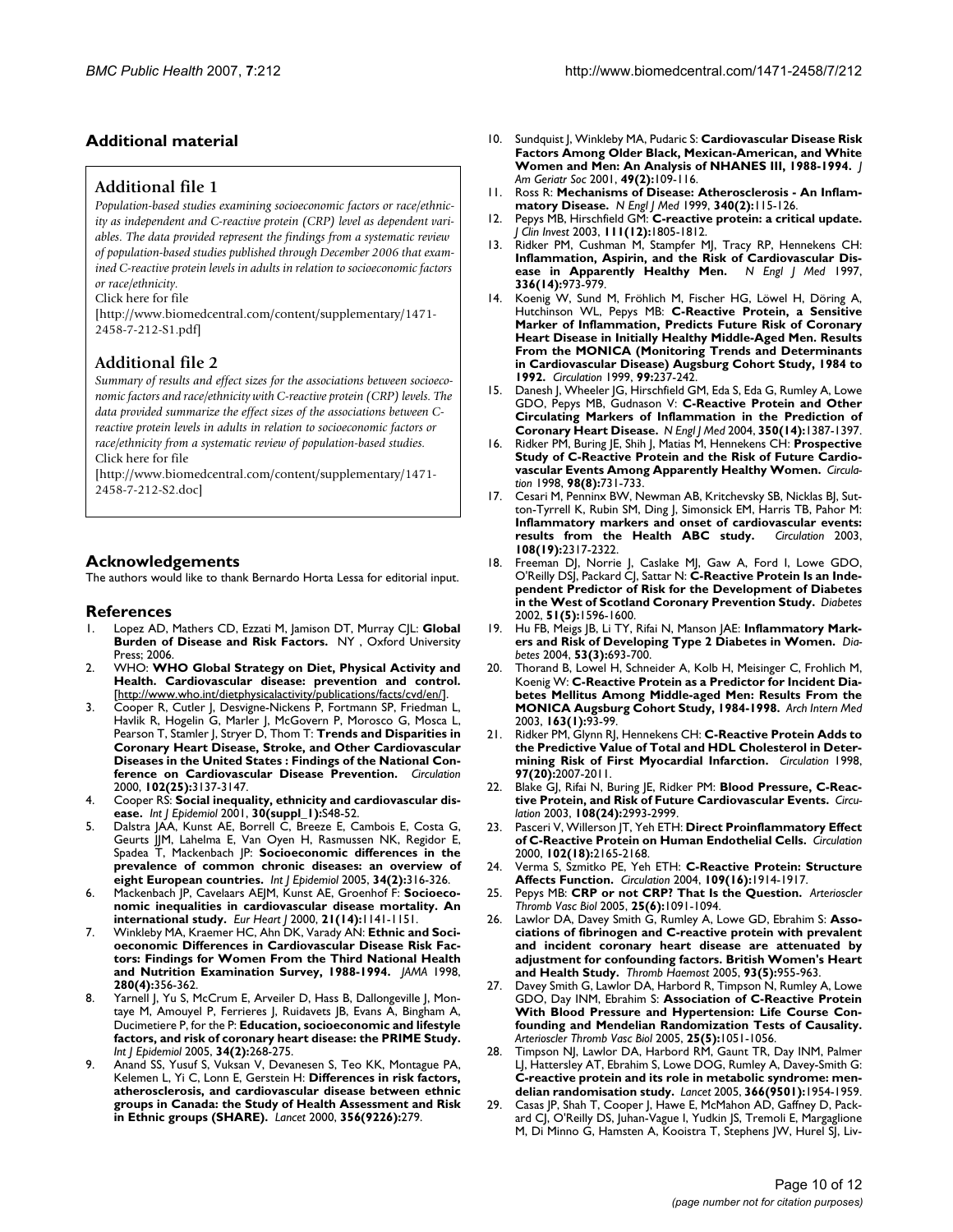## **Additional material**

## **Additional file 1**

*Population-based studies examining socioeconomic factors or race/ethnicity as independent and C-reactive protein (CRP) level as dependent variables. The data provided represent the findings from a systematic review of population-based studies published through December 2006 that examined C-reactive protein levels in adults in relation to socioeconomic factors or race/ethnicity.*

Click here for file

[\[http://www.biomedcentral.com/content/supplementary/1471-](http://www.biomedcentral.com/content/supplementary/1471-2458-7-212-S1.pdf) 2458-7-212-S1.pdf]

## **Additional file 2**

*Summary of results and effect sizes for the associations between socioeconomic factors and race/ethnicity with C-reactive protein (CRP) levels. The data provided summarize the effect sizes of the associations between Creactive protein levels in adults in relation to socioeconomic factors or race/ethnicity from a systematic review of population-based studies.* Click here for file

[\[http://www.biomedcentral.com/content/supplementary/1471-](http://www.biomedcentral.com/content/supplementary/1471-2458-7-212-S2.doc) 2458-7-212-S2.doc]

## **Acknowledgements**

The authors would like to thank Bernardo Horta Lessa for editorial input.

#### **References**

- 1. Lopez AD, Mathers CD, Ezzati M, Jamison DT, Murray CJL: **Global Burden of Disease and Risk Factors.** NY , Oxford University Press; 2006.
- 2. WHO: **[WHO Global Strategy on Diet, Physical Activity and](http://www.ncbi.nlm.nih.gov/entrez/query.fcgi?cmd=Retrieve&db=PubMed&dopt=Abstract&list_uids=2097487) [Health. Cardiovascular disease: prevention and control.](http://www.ncbi.nlm.nih.gov/entrez/query.fcgi?cmd=Retrieve&db=PubMed&dopt=Abstract&list_uids=2097487)** [<http://www.who.int/dietphysicalactivity/publications/facts/cvd/en/>].
- 3. Cooper R, Cutler J, Desvigne-Nickens P, Fortmann SP, Friedman L, Havlik R, Hogelin G, Marler J, McGovern P, Morosco G, Mosca L, Pearson T, Stamler J, Stryer D, Thom T: **[Trends and Disparities in](http://www.ncbi.nlm.nih.gov/entrez/query.fcgi?cmd=Retrieve&db=PubMed&dopt=Abstract&list_uids=11120707) Coronary Heart Disease, Stroke, and Other Cardiovascular [Diseases in the United States : Findings of the National Con](http://www.ncbi.nlm.nih.gov/entrez/query.fcgi?cmd=Retrieve&db=PubMed&dopt=Abstract&list_uids=11120707)[ference on Cardiovascular Disease Prevention.](http://www.ncbi.nlm.nih.gov/entrez/query.fcgi?cmd=Retrieve&db=PubMed&dopt=Abstract&list_uids=11120707)** *Circulation* 2000, **102(25):**3137-3147.
- 4. Cooper RS: **[Social inequality, ethnicity and cardiovascular dis](http://www.ncbi.nlm.nih.gov/entrez/query.fcgi?cmd=Retrieve&db=PubMed&dopt=Abstract&list_uids=11759851)[ease.](http://www.ncbi.nlm.nih.gov/entrez/query.fcgi?cmd=Retrieve&db=PubMed&dopt=Abstract&list_uids=11759851)** *Int J Epidemiol* 2001, **30(suppl\_1):**S48-52.
- 5. Dalstra JAA, Kunst AE, Borrell C, Breeze E, Cambois E, Costa G, Geurts JJM, Lahelma E, Van Oyen H, Rasmussen NK, Regidor E, Spadea T, Mackenbach JP: **[Socioeconomic differences in the](http://www.ncbi.nlm.nih.gov/entrez/query.fcgi?cmd=Retrieve&db=PubMed&dopt=Abstract&list_uids=15737978) [prevalence of common chronic diseases: an overview of](http://www.ncbi.nlm.nih.gov/entrez/query.fcgi?cmd=Retrieve&db=PubMed&dopt=Abstract&list_uids=15737978) [eight European countries.](http://www.ncbi.nlm.nih.gov/entrez/query.fcgi?cmd=Retrieve&db=PubMed&dopt=Abstract&list_uids=15737978)** *Int J Epidemiol* 2005, **34(2):**316-326.
- 6. Mackenbach JP, Cavelaars AEJM, Kunst AE, Groenhof F: **[Socioeco](http://www.ncbi.nlm.nih.gov/entrez/query.fcgi?cmd=Retrieve&db=PubMed&dopt=Abstract&list_uids=10924297)[nomic inequalities in cardiovascular disease mortality. An](http://www.ncbi.nlm.nih.gov/entrez/query.fcgi?cmd=Retrieve&db=PubMed&dopt=Abstract&list_uids=10924297) [international study.](http://www.ncbi.nlm.nih.gov/entrez/query.fcgi?cmd=Retrieve&db=PubMed&dopt=Abstract&list_uids=10924297)** *Eur Heart J* 2000, **21(14):**1141-1151.
- 7. Winkleby MA, Kraemer HC, Ahn DK, Varady AN: **[Ethnic and Soci](http://www.ncbi.nlm.nih.gov/entrez/query.fcgi?cmd=Retrieve&db=PubMed&dopt=Abstract&list_uids=9686553)oeconomic Differences in Cardiovascular Disease Risk Fac[tors: Findings for Women From the Third National Health](http://www.ncbi.nlm.nih.gov/entrez/query.fcgi?cmd=Retrieve&db=PubMed&dopt=Abstract&list_uids=9686553) [and Nutrition Examination Survey, 1988-1994.](http://www.ncbi.nlm.nih.gov/entrez/query.fcgi?cmd=Retrieve&db=PubMed&dopt=Abstract&list_uids=9686553)** *JAMA* 1998, **280(4):**356-362.
- 8. Yarnell J, Yu S, McCrum E, Arveiler D, Hass B, Dallongeville J, Montaye M, Amouyel P, Ferrieres J, Ruidavets JB, Evans A, Bingham A, Ducimetiere P, for the P: **[Education, socioeconomic and lifestyle](http://www.ncbi.nlm.nih.gov/entrez/query.fcgi?cmd=Retrieve&db=PubMed&dopt=Abstract&list_uids=15319403) [factors, and risk of coronary heart disease: the PRIME Study.](http://www.ncbi.nlm.nih.gov/entrez/query.fcgi?cmd=Retrieve&db=PubMed&dopt=Abstract&list_uids=15319403)** *Int J Epidemiol* 2005, **34(2):**268-275.
- 9. Anand SS, Yusuf S, Vuksan V, Devanesen S, Teo KK, Montague PA, Kelemen L, Yi C, Lonn E, Gerstein H: **[Differences in risk factors,](http://www.ncbi.nlm.nih.gov/entrez/query.fcgi?cmd=Retrieve&db=PubMed&dopt=Abstract&list_uids=11071182) atherosclerosis, and cardiovascular disease between ethnic [groups in Canada: the Study of Health Assessment and Risk](http://www.ncbi.nlm.nih.gov/entrez/query.fcgi?cmd=Retrieve&db=PubMed&dopt=Abstract&list_uids=11071182) [in Ethnic groups \(SHARE\).](http://www.ncbi.nlm.nih.gov/entrez/query.fcgi?cmd=Retrieve&db=PubMed&dopt=Abstract&list_uids=11071182)** *Lancet* 2000, **356(9226):**279.
- 10. Sundquist J, Winkleby MA, Pudaric S: **[Cardiovascular Disease Risk](http://www.ncbi.nlm.nih.gov/entrez/query.fcgi?cmd=Retrieve&db=PubMed&dopt=Abstract&list_uids=11207863) [Factors Among Older Black, Mexican-American, and White](http://www.ncbi.nlm.nih.gov/entrez/query.fcgi?cmd=Retrieve&db=PubMed&dopt=Abstract&list_uids=11207863) [Women and Men: An Analysis of NHANES III, 1988-1994.](http://www.ncbi.nlm.nih.gov/entrez/query.fcgi?cmd=Retrieve&db=PubMed&dopt=Abstract&list_uids=11207863)** *J Am Geriatr Soc* 2001, **49(2):**109-116.
- 11. Ross R: **[Mechanisms of Disease: Atherosclerosis An Inflam](http://www.ncbi.nlm.nih.gov/entrez/query.fcgi?cmd=Retrieve&db=PubMed&dopt=Abstract&list_uids=9887164)[matory Disease.](http://www.ncbi.nlm.nih.gov/entrez/query.fcgi?cmd=Retrieve&db=PubMed&dopt=Abstract&list_uids=9887164)** *N Engl J Med* 1999, **340(2):**115-126.
- 12. Pepys MB, Hirschfield GM: **[C-reactive protein: a critical update.](http://www.ncbi.nlm.nih.gov/entrez/query.fcgi?cmd=Retrieve&db=PubMed&dopt=Abstract&list_uids=12813013)** *J Clin Invest* 2003, **111(12):**1805-1812.
- 13. Ridker PM, Cushman M, Stampfer MJ, Tracy RP, Hennekens CH: **[Inflammation, Aspirin, and the Risk of Cardiovascular Dis](http://www.ncbi.nlm.nih.gov/entrez/query.fcgi?cmd=Retrieve&db=PubMed&dopt=Abstract&list_uids=9077376)[ease in Apparently Healthy Men.](http://www.ncbi.nlm.nih.gov/entrez/query.fcgi?cmd=Retrieve&db=PubMed&dopt=Abstract&list_uids=9077376)** *N Engl J Med* 1997, **336(14):**973-979.
- 14. Koenig W, Sund M, Fröhlich M, Fischer HG, Löwel H, Döring A, Hutchinson WL, Pepys MB: **[C-Reactive Protein, a Sensitive](http://www.ncbi.nlm.nih.gov/entrez/query.fcgi?cmd=Retrieve&db=PubMed&dopt=Abstract&list_uids=9892589) Marker of Inflammation, Predicts Future Risk of Coronary [Heart Disease in Initially Healthy Middle-Aged Men. Results](http://www.ncbi.nlm.nih.gov/entrez/query.fcgi?cmd=Retrieve&db=PubMed&dopt=Abstract&list_uids=9892589) From the MONICA (Monitoring Trends and Determinants in Cardiovascular Disease) Augsburg Cohort Study, 1984 to [1992.](http://www.ncbi.nlm.nih.gov/entrez/query.fcgi?cmd=Retrieve&db=PubMed&dopt=Abstract&list_uids=9892589)** *Circulation* 1999, **99:**237-242.
- 15. Danesh J, Wheeler JG, Hirschfield GM, Eda S, Eda G, Rumley A, Lowe GDO, Pepys MB, Gudnason V: **[C-Reactive Protein and Other](http://www.ncbi.nlm.nih.gov/entrez/query.fcgi?cmd=Retrieve&db=PubMed&dopt=Abstract&list_uids=15070788) [Circulating Markers of Inflammation in the Prediction of](http://www.ncbi.nlm.nih.gov/entrez/query.fcgi?cmd=Retrieve&db=PubMed&dopt=Abstract&list_uids=15070788) [Coronary Heart Disease.](http://www.ncbi.nlm.nih.gov/entrez/query.fcgi?cmd=Retrieve&db=PubMed&dopt=Abstract&list_uids=15070788)** *N Engl J Med* 2004, **350(14):**1387-1397.
- 16. Ridker PM, Buring JE, Shih J, Matias M, Hennekens CH: **[Prospective](http://www.ncbi.nlm.nih.gov/entrez/query.fcgi?cmd=Retrieve&db=PubMed&dopt=Abstract&list_uids=9727541) [Study of C-Reactive Protein and the Risk of Future Cardio](http://www.ncbi.nlm.nih.gov/entrez/query.fcgi?cmd=Retrieve&db=PubMed&dopt=Abstract&list_uids=9727541)[vascular Events Among Apparently Healthy Women.](http://www.ncbi.nlm.nih.gov/entrez/query.fcgi?cmd=Retrieve&db=PubMed&dopt=Abstract&list_uids=9727541)** *Circulation* 1998, **98(8):**731-733.
- 17. Cesari M, Penninx BW, Newman AB, Kritchevsky SB, Nicklas BJ, Sutton-Tyrrell K, Rubin SM, Ding J, Simonsick EM, Harris TB, Pahor M: **[Inflammatory markers and onset of cardiovascular events:](http://www.ncbi.nlm.nih.gov/entrez/query.fcgi?cmd=Retrieve&db=PubMed&dopt=Abstract&list_uids=14568895)** [results from the Health ABC study.](http://www.ncbi.nlm.nih.gov/entrez/query.fcgi?cmd=Retrieve&db=PubMed&dopt=Abstract&list_uids=14568895) **108(19):**2317-2322.
- 18. Freeman DJ, Norrie J, Caslake MJ, Gaw A, Ford I, Lowe GDO, O'Reilly DSJ, Packard CJ, Sattar N: **[C-Reactive Protein Is an Inde](http://www.ncbi.nlm.nih.gov/entrez/query.fcgi?cmd=Retrieve&db=PubMed&dopt=Abstract&list_uids=11978661)[pendent Predictor of Risk for the Development of Diabetes](http://www.ncbi.nlm.nih.gov/entrez/query.fcgi?cmd=Retrieve&db=PubMed&dopt=Abstract&list_uids=11978661) [in the West of Scotland Coronary Prevention Study.](http://www.ncbi.nlm.nih.gov/entrez/query.fcgi?cmd=Retrieve&db=PubMed&dopt=Abstract&list_uids=11978661)** *Diabetes* 2002, **51(5):**1596-1600.
- 19. Hu FB, Meigs JB, Li TY, Rifai N, Manson JAE: **[Inflammatory Mark](http://www.ncbi.nlm.nih.gov/entrez/query.fcgi?cmd=Retrieve&db=PubMed&dopt=Abstract&list_uids=14988254)[ers and Risk of Developing Type 2 Diabetes in Women.](http://www.ncbi.nlm.nih.gov/entrez/query.fcgi?cmd=Retrieve&db=PubMed&dopt=Abstract&list_uids=14988254)** *Diabetes* 2004, **53(3):**693-700.
- Thorand B, Lowel H, Schneider A, Kolb H, Meisinger C, Frohlich M, Koenig W: **[C-Reactive Protein as a Predictor for Incident Dia](http://www.ncbi.nlm.nih.gov/entrez/query.fcgi?cmd=Retrieve&db=PubMed&dopt=Abstract&list_uids=12523922)[betes Mellitus Among Middle-aged Men: Results From the](http://www.ncbi.nlm.nih.gov/entrez/query.fcgi?cmd=Retrieve&db=PubMed&dopt=Abstract&list_uids=12523922) [MONICA Augsburg Cohort Study, 1984-1998.](http://www.ncbi.nlm.nih.gov/entrez/query.fcgi?cmd=Retrieve&db=PubMed&dopt=Abstract&list_uids=12523922)** *Arch Intern Med* 2003, **163(1):**93-99.
- 21. Ridker PM, Glynn RJ, Hennekens CH: **[C-Reactive Protein Adds to](http://www.ncbi.nlm.nih.gov/entrez/query.fcgi?cmd=Retrieve&db=PubMed&dopt=Abstract&list_uids=9610529) [the Predictive Value of Total and HDL Cholesterol in Deter](http://www.ncbi.nlm.nih.gov/entrez/query.fcgi?cmd=Retrieve&db=PubMed&dopt=Abstract&list_uids=9610529)[mining Risk of First Myocardial Infarction.](http://www.ncbi.nlm.nih.gov/entrez/query.fcgi?cmd=Retrieve&db=PubMed&dopt=Abstract&list_uids=9610529)** *Circulation* 1998, **97(20):**2007-2011.
- 22. Blake GJ, Rifai N, Buring JE, Ridker PM: **[Blood Pressure, C-Reac](http://www.ncbi.nlm.nih.gov/entrez/query.fcgi?cmd=Retrieve&db=PubMed&dopt=Abstract&list_uids=14638538)[tive Protein, and Risk of Future Cardiovascular Events.](http://www.ncbi.nlm.nih.gov/entrez/query.fcgi?cmd=Retrieve&db=PubMed&dopt=Abstract&list_uids=14638538)** *Circulation* 2003, **108(24):**2993-2999.
- Pasceri V, Willerson JT, Yeh ETH: [Direct Proinflammatory Effect](http://www.ncbi.nlm.nih.gov/entrez/query.fcgi?cmd=Retrieve&db=PubMed&dopt=Abstract&list_uids=11056086) **[of C-Reactive Protein on Human Endothelial Cells.](http://www.ncbi.nlm.nih.gov/entrez/query.fcgi?cmd=Retrieve&db=PubMed&dopt=Abstract&list_uids=11056086)** *Circulation* 2000, **102(18):**2165-2168.
- 24. Verma S, Szmitko PE, Yeh ETH: **[C-Reactive Protein: Structure](http://www.ncbi.nlm.nih.gov/entrez/query.fcgi?cmd=Retrieve&db=PubMed&dopt=Abstract&list_uids=15117860) [Affects Function.](http://www.ncbi.nlm.nih.gov/entrez/query.fcgi?cmd=Retrieve&db=PubMed&dopt=Abstract&list_uids=15117860)** *Circulation* 2004, **109(16):**1914-1917.
- 25. Pepys MB: **[CRP or not CRP? That Is the Question.](http://www.ncbi.nlm.nih.gov/entrez/query.fcgi?cmd=Retrieve&db=PubMed&dopt=Abstract&list_uids=15923540)** *Arterioscler Thromb Vasc Biol* 2005, **25(6):**1091-1094.
- 26. Lawlor DA, Davey Smith G, Rumley A, Lowe GD, Ebrahim S: **[Asso](http://www.ncbi.nlm.nih.gov/entrez/query.fcgi?cmd=Retrieve&db=PubMed&dopt=Abstract&list_uids=15886815)ciations of fibrinogen and C-reactive protein with prevalent [and incident coronary heart disease are attenuated by](http://www.ncbi.nlm.nih.gov/entrez/query.fcgi?cmd=Retrieve&db=PubMed&dopt=Abstract&list_uids=15886815) adjustment for confounding factors. British Women's Heart [and Health Study.](http://www.ncbi.nlm.nih.gov/entrez/query.fcgi?cmd=Retrieve&db=PubMed&dopt=Abstract&list_uids=15886815)** *Thromb Haemost* 2005, **93(5):**955-963.
- 27. Davey Smith G, Lawlor DA, Harbord R, Timpson N, Rumley A, Lowe GDO, Day INM, Ebrahim S: **[Association of C-Reactive Protein](http://www.ncbi.nlm.nih.gov/entrez/query.fcgi?cmd=Retrieve&db=PubMed&dopt=Abstract&list_uids=15731495) With Blood Pressure and Hypertension: Life Course Con[founding and Mendelian Randomization Tests of Causality.](http://www.ncbi.nlm.nih.gov/entrez/query.fcgi?cmd=Retrieve&db=PubMed&dopt=Abstract&list_uids=15731495)** *Arterioscler Thromb Vasc Biol* 2005, **25(5):**1051-1056.
- 28. Timpson NJ, Lawlor DA, Harbord RM, Gaunt TR, Day INM, Palmer LJ, Hattersley AT, Ebrahim S, Lowe DOG, Rumley A, Davey-Smith G: **[C-reactive protein and its role in metabolic syndrome: men](http://www.ncbi.nlm.nih.gov/entrez/query.fcgi?cmd=Retrieve&db=PubMed&dopt=Abstract&list_uids=16325697)[delian randomisation study.](http://www.ncbi.nlm.nih.gov/entrez/query.fcgi?cmd=Retrieve&db=PubMed&dopt=Abstract&list_uids=16325697)** *Lancet* 2005, **366(9501):**1954-1959.
- 29. Casas JP, Shah T, Cooper J, Hawe E, McMahon AD, Gaffney D, Packard CJ, O'Reilly DS, Juhan-Vague I, Yudkin JS, Tremoli E, Margaglione M, Di Minno G, Hamsten A, Kooistra T, Stephens JW, Hurel SJ, Liv-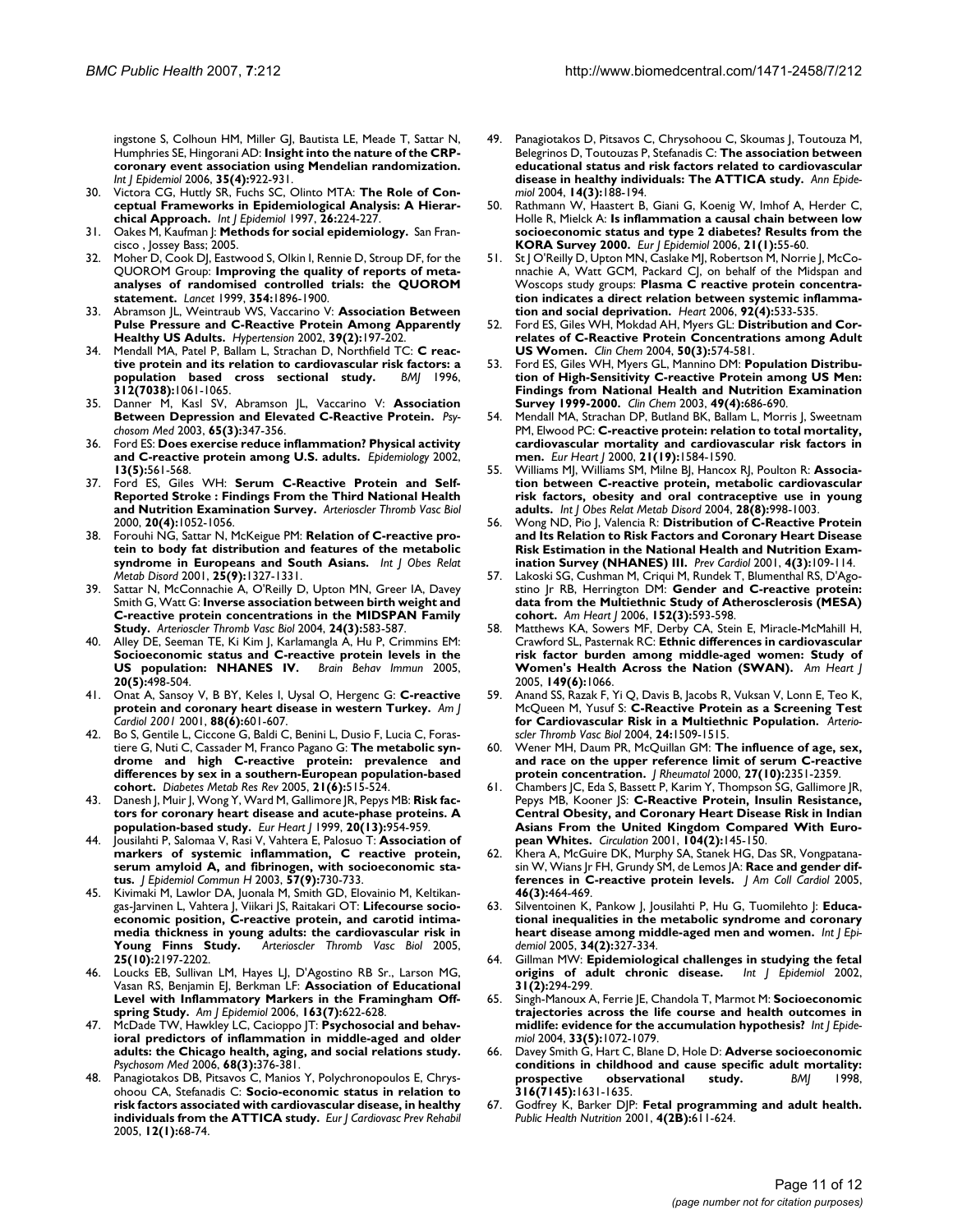ingstone S, Colhoun HM, Miller GJ, Bautista LE, Meade T, Sattar N, Humphries SE, Hingorani AD: **[Insight into the nature of the CRP](http://www.ncbi.nlm.nih.gov/entrez/query.fcgi?cmd=Retrieve&db=PubMed&dopt=Abstract&list_uids=16565153)[coronary event association using Mendelian randomization.](http://www.ncbi.nlm.nih.gov/entrez/query.fcgi?cmd=Retrieve&db=PubMed&dopt=Abstract&list_uids=16565153)** *Int J Epidemiol* 2006, **35(4):**922-931.

- 30. Victora CG, Huttly SR, Fuchs SC, Olinto MTA: **[The Role of Con](http://www.ncbi.nlm.nih.gov/entrez/query.fcgi?cmd=Retrieve&db=PubMed&dopt=Abstract&list_uids=9126524)[ceptual Frameworks in Epidemiological Analysis: A Hierar](http://www.ncbi.nlm.nih.gov/entrez/query.fcgi?cmd=Retrieve&db=PubMed&dopt=Abstract&list_uids=9126524)[chical Approach.](http://www.ncbi.nlm.nih.gov/entrez/query.fcgi?cmd=Retrieve&db=PubMed&dopt=Abstract&list_uids=9126524)** *Int J Epidemiol* 1997, **26:**224-227.
- 31. Oakes M, Kaufman J: **Methods for social epidemiology.** San Francisco , Jossey Bass; 2005.
- 32. Moher D, Cook DJ, Eastwood S, Olkin I, Rennie D, Stroup DF, for the QUOROM Group: **[Improving the quality of reports of meta](http://www.ncbi.nlm.nih.gov/entrez/query.fcgi?cmd=Retrieve&db=PubMed&dopt=Abstract&list_uids=10584742)[analyses of randomised controlled trials: the QUOROM](http://www.ncbi.nlm.nih.gov/entrez/query.fcgi?cmd=Retrieve&db=PubMed&dopt=Abstract&list_uids=10584742) [statement.](http://www.ncbi.nlm.nih.gov/entrez/query.fcgi?cmd=Retrieve&db=PubMed&dopt=Abstract&list_uids=10584742)** *Lancet* 1999, **354:**1896-1900.
- 33. Abramson JL, Weintraub WS, Vaccarino V: **[Association Between](http://www.ncbi.nlm.nih.gov/entrez/query.fcgi?cmd=Retrieve&db=PubMed&dopt=Abstract&list_uids=11847183) [Pulse Pressure and C-Reactive Protein Among Apparently](http://www.ncbi.nlm.nih.gov/entrez/query.fcgi?cmd=Retrieve&db=PubMed&dopt=Abstract&list_uids=11847183) [Healthy US Adults.](http://www.ncbi.nlm.nih.gov/entrez/query.fcgi?cmd=Retrieve&db=PubMed&dopt=Abstract&list_uids=11847183)** *Hypertension* 2002, **39(2):**197-202.
- 34. Mendall MA, Patel P, Ballam L, Strachan D, Northfield TC: **[C reac](http://www.ncbi.nlm.nih.gov/entrez/query.fcgi?cmd=Retrieve&db=PubMed&dopt=Abstract&list_uids=8616412)[tive protein and its relation to cardiovascular risk factors: a](http://www.ncbi.nlm.nih.gov/entrez/query.fcgi?cmd=Retrieve&db=PubMed&dopt=Abstract&list_uids=8616412) [population based cross sectional study.](http://www.ncbi.nlm.nih.gov/entrez/query.fcgi?cmd=Retrieve&db=PubMed&dopt=Abstract&list_uids=8616412)** *BMJ* 1996, **312(7038):**1061-1065.
- 35. Danner M, Kasl SV, Abramson JL, Vaccarino V: **[Association](http://www.ncbi.nlm.nih.gov/entrez/query.fcgi?cmd=Retrieve&db=PubMed&dopt=Abstract&list_uids=12764206) [Between Depression and Elevated C-Reactive Protein.](http://www.ncbi.nlm.nih.gov/entrez/query.fcgi?cmd=Retrieve&db=PubMed&dopt=Abstract&list_uids=12764206)** *Psychosom Med* 2003, **65(3):**347-356.
- 36. Ford ES: **[Does exercise reduce inflammation? Physical activity](http://www.ncbi.nlm.nih.gov/entrez/query.fcgi?cmd=Retrieve&db=PubMed&dopt=Abstract&list_uids=12192226) [and C-reactive protein among U.S. adults.](http://www.ncbi.nlm.nih.gov/entrez/query.fcgi?cmd=Retrieve&db=PubMed&dopt=Abstract&list_uids=12192226)** *Epidemiology* 2002, **13(5):**561-568.
- 37. Ford ES, Giles WH: **[Serum C-Reactive Protein and Self-](http://www.ncbi.nlm.nih.gov/entrez/query.fcgi?cmd=Retrieve&db=PubMed&dopt=Abstract&list_uids=10764672)[Reported Stroke : Findings From the Third National Health](http://www.ncbi.nlm.nih.gov/entrez/query.fcgi?cmd=Retrieve&db=PubMed&dopt=Abstract&list_uids=10764672) [and Nutrition Examination Survey.](http://www.ncbi.nlm.nih.gov/entrez/query.fcgi?cmd=Retrieve&db=PubMed&dopt=Abstract&list_uids=10764672)** *Arterioscler Thromb Vasc Biol* 2000, **20(4):**1052-1056.
- 38. Forouhi NG, Sattar N, McKeigue PM: **[Relation of C-reactive pro](http://www.ncbi.nlm.nih.gov/entrez/query.fcgi?cmd=Retrieve&db=PubMed&dopt=Abstract&list_uids=11571595)[tein to body fat distribution and features of the metabolic](http://www.ncbi.nlm.nih.gov/entrez/query.fcgi?cmd=Retrieve&db=PubMed&dopt=Abstract&list_uids=11571595) [syndrome in Europeans and South Asians.](http://www.ncbi.nlm.nih.gov/entrez/query.fcgi?cmd=Retrieve&db=PubMed&dopt=Abstract&list_uids=11571595)** *Int J Obes Relat Metab Disord* 2001, **25(9):**1327-1331.
- 39. Sattar N, McConnachie A, O'Reilly D, Upton MN, Greer IA, Davey Smith G, Watt G: **[Inverse association between birth weight and](http://www.ncbi.nlm.nih.gov/entrez/query.fcgi?cmd=Retrieve&db=PubMed&dopt=Abstract&list_uids=14739124) [C-reactive protein concentrations in the MIDSPAN Family](http://www.ncbi.nlm.nih.gov/entrez/query.fcgi?cmd=Retrieve&db=PubMed&dopt=Abstract&list_uids=14739124) [Study.](http://www.ncbi.nlm.nih.gov/entrez/query.fcgi?cmd=Retrieve&db=PubMed&dopt=Abstract&list_uids=14739124)** *Arterioscler Thromb Vasc Biol* 2004, **24(3):**583-587.
- 40. Alley DE, Seeman TE, Ki Kim J, Karlamangla A, Hu P, Crimmins EM: **[Socioeconomic status and C-reactive protein levels in the](http://www.ncbi.nlm.nih.gov/entrez/query.fcgi?cmd=Retrieve&db=PubMed&dopt=Abstract&list_uids=16330181) [US population: NHANES IV.](http://www.ncbi.nlm.nih.gov/entrez/query.fcgi?cmd=Retrieve&db=PubMed&dopt=Abstract&list_uids=16330181)** *Brain Behav Immun* 2005, **20(5):**498-504.
- 41. Onat A, Sansoy V, B BY, Keles I, Uysal O, Hergenc G: **C-reactive protein and coronary heart disease in western Turkey.** *Am J Cardiol 2001* 2001, **88(6):**601-607.
- 42. Bo S, Gentile L, Ciccone G, Baldi C, Benini L, Dusio F, Lucia C, Forastiere G, Nuti C, Cassader M, Franco Pagano G: **[The metabolic syn](http://www.ncbi.nlm.nih.gov/entrez/query.fcgi?cmd=Retrieve&db=PubMed&dopt=Abstract&list_uids=15883967)drome and high C-reactive protein: prevalence and [differences by sex in a southern-European population-based](http://www.ncbi.nlm.nih.gov/entrez/query.fcgi?cmd=Retrieve&db=PubMed&dopt=Abstract&list_uids=15883967) [cohort.](http://www.ncbi.nlm.nih.gov/entrez/query.fcgi?cmd=Retrieve&db=PubMed&dopt=Abstract&list_uids=15883967)** *Diabetes Metab Res Rev* 2005, **21(6):**515-524.
- 43. Danesh J, Muir J, Wong Y, Ward M, Gallimore JR, Pepys MB: **[Risk fac](http://www.ncbi.nlm.nih.gov/entrez/query.fcgi?cmd=Retrieve&db=PubMed&dopt=Abstract&list_uids=10361047)[tors for coronary heart disease and acute-phase proteins. A](http://www.ncbi.nlm.nih.gov/entrez/query.fcgi?cmd=Retrieve&db=PubMed&dopt=Abstract&list_uids=10361047) [population-based study.](http://www.ncbi.nlm.nih.gov/entrez/query.fcgi?cmd=Retrieve&db=PubMed&dopt=Abstract&list_uids=10361047)** *Eur Heart J* 1999, **20(13):**954-959.
- 44. Jousilahti P, Salomaa V, Rasi V, Vahtera E, Palosuo T: **Association of markers of systemic inflammation, C reactive protein, serum amyloid A, and fibrinogen, with socioeconomic status.** *J Epidemiol Commun H* 2003, **57(9):**730-733.
- 45. Kivimaki M, Lawlor DA, Juonala M, Smith GD, Elovainio M, Keltikangas-Jarvinen L, Vahtera J, Viikari JS, Raitakari OT: **[Lifecourse socio](http://www.ncbi.nlm.nih.gov/entrez/query.fcgi?cmd=Retrieve&db=PubMed&dopt=Abstract&list_uids=16123322)economic position, C-reactive protein, and carotid intima[media thickness in young adults: the cardiovascular risk in](http://www.ncbi.nlm.nih.gov/entrez/query.fcgi?cmd=Retrieve&db=PubMed&dopt=Abstract&list_uids=16123322)** Arterioscler Thromb Vasc Biol 2005, **25(10):**2197-2202.
- 46. Loucks EB, Sullivan LM, Hayes LJ, D'Agostino RB Sr., Larson MG, Vasan RS, Benjamin EJ, Berkman LF: **[Association of Educational](http://www.ncbi.nlm.nih.gov/entrez/query.fcgi?cmd=Retrieve&db=PubMed&dopt=Abstract&list_uids=16421236) [Level with Inflammatory Markers in the Framingham Off](http://www.ncbi.nlm.nih.gov/entrez/query.fcgi?cmd=Retrieve&db=PubMed&dopt=Abstract&list_uids=16421236)[spring Study.](http://www.ncbi.nlm.nih.gov/entrez/query.fcgi?cmd=Retrieve&db=PubMed&dopt=Abstract&list_uids=16421236)** *Am J Epidemiol* 2006, **163(7):**622-628.
- 47. McDade TW, Hawkley LC, Cacioppo JT: **[Psychosocial and behav](http://www.ncbi.nlm.nih.gov/entrez/query.fcgi?cmd=Retrieve&db=PubMed&dopt=Abstract&list_uids=16738067)ioral predictors of inflammation in middle-aged and older [adults: the Chicago health, aging, and social relations study.](http://www.ncbi.nlm.nih.gov/entrez/query.fcgi?cmd=Retrieve&db=PubMed&dopt=Abstract&list_uids=16738067)** *Psychosom Med* 2006, **68(3):**376-381.
- 48. Panagiotakos DB, Pitsavos C, Manios Y, Polychronopoulos E, Chrysohoou CA, Stefanadis C: **[Socio-economic status in relation to](http://www.ncbi.nlm.nih.gov/entrez/query.fcgi?cmd=Retrieve&db=PubMed&dopt=Abstract&list_uids=15703509) [risk factors associated with cardiovascular disease, in healthy](http://www.ncbi.nlm.nih.gov/entrez/query.fcgi?cmd=Retrieve&db=PubMed&dopt=Abstract&list_uids=15703509) [individuals from the ATTICA study.](http://www.ncbi.nlm.nih.gov/entrez/query.fcgi?cmd=Retrieve&db=PubMed&dopt=Abstract&list_uids=15703509)** *Eur J Cardiovasc Prev Rehabil* 2005, **12(1):**68-74.
- 49. Panagiotakos D, Pitsavos C, Chrysohoou C, Skoumas J, Toutouza M, Belegrinos D, Toutouzas P, Stefanadis C: **[The association between](http://www.ncbi.nlm.nih.gov/entrez/query.fcgi?cmd=Retrieve&db=PubMed&dopt=Abstract&list_uids=15036222) [educational status and risk factors related to cardiovascular](http://www.ncbi.nlm.nih.gov/entrez/query.fcgi?cmd=Retrieve&db=PubMed&dopt=Abstract&list_uids=15036222) [disease in healthy individuals: The ATTICA study.](http://www.ncbi.nlm.nih.gov/entrez/query.fcgi?cmd=Retrieve&db=PubMed&dopt=Abstract&list_uids=15036222)** *Ann Epidemiol* 2004, **14(3):**188-194.
- 50. Rathmann W, Haastert B, Giani G, Koenig W, Imhof A, Herder C, Holle R, Mielck A: **[Is inflammation a causal chain between low](http://www.ncbi.nlm.nih.gov/entrez/query.fcgi?cmd=Retrieve&db=PubMed&dopt=Abstract&list_uids=16450207) [socioeconomic status and type 2 diabetes? Results from the](http://www.ncbi.nlm.nih.gov/entrez/query.fcgi?cmd=Retrieve&db=PubMed&dopt=Abstract&list_uids=16450207) [KORA Survey 2000.](http://www.ncbi.nlm.nih.gov/entrez/query.fcgi?cmd=Retrieve&db=PubMed&dopt=Abstract&list_uids=16450207)** *Eur J Epidemiol* 2006, **21(1):**55-60.
- 51. St J O'Reilly D, Upton MN, Caslake MJ, Robertson M, Norrie J, McConnachie A, Watt GCM, Packard CJ, on behalf of the Midspan and Woscops study groups: **[Plasma C reactive protein concentra](http://www.ncbi.nlm.nih.gov/entrez/query.fcgi?cmd=Retrieve&db=PubMed&dopt=Abstract&list_uids=16537770)[tion indicates a direct relation between systemic inflamma](http://www.ncbi.nlm.nih.gov/entrez/query.fcgi?cmd=Retrieve&db=PubMed&dopt=Abstract&list_uids=16537770)[tion and social deprivation.](http://www.ncbi.nlm.nih.gov/entrez/query.fcgi?cmd=Retrieve&db=PubMed&dopt=Abstract&list_uids=16537770)** *Heart* 2006, **92(4):**533-535.
- 52. Ford ES, Giles WH, Mokdad AH, Myers GL: **[Distribution and Cor](http://www.ncbi.nlm.nih.gov/entrez/query.fcgi?cmd=Retrieve&db=PubMed&dopt=Abstract&list_uids=14709450)[relates of C-Reactive Protein Concentrations among Adult](http://www.ncbi.nlm.nih.gov/entrez/query.fcgi?cmd=Retrieve&db=PubMed&dopt=Abstract&list_uids=14709450) [US Women.](http://www.ncbi.nlm.nih.gov/entrez/query.fcgi?cmd=Retrieve&db=PubMed&dopt=Abstract&list_uids=14709450)** *Clin Chem* 2004, **50(3):**574-581.
- 53. Ford ES, Giles WH, Myers GL, Mannino DM: **[Population Distribu](http://www.ncbi.nlm.nih.gov/entrez/query.fcgi?cmd=Retrieve&db=PubMed&dopt=Abstract&list_uids=12651834)tion of High-Sensitivity C-reactive Protein among US Men: [Findings from National Health and Nutrition Examination](http://www.ncbi.nlm.nih.gov/entrez/query.fcgi?cmd=Retrieve&db=PubMed&dopt=Abstract&list_uids=12651834) [Survey 1999-2000.](http://www.ncbi.nlm.nih.gov/entrez/query.fcgi?cmd=Retrieve&db=PubMed&dopt=Abstract&list_uids=12651834)** *Clin Chem* 2003, **49(4):**686-690.
- 54. Mendall MA, Strachan DP, Butland BK, Ballam L, Morris J, Sweetnam PM, Elwood PC: **[C-reactive protein: relation to total mortality,](http://www.ncbi.nlm.nih.gov/entrez/query.fcgi?cmd=Retrieve&db=PubMed&dopt=Abstract&list_uids=10988010) [cardiovascular mortality and cardiovascular risk factors in](http://www.ncbi.nlm.nih.gov/entrez/query.fcgi?cmd=Retrieve&db=PubMed&dopt=Abstract&list_uids=10988010) [men.](http://www.ncbi.nlm.nih.gov/entrez/query.fcgi?cmd=Retrieve&db=PubMed&dopt=Abstract&list_uids=10988010)** *Eur Heart J* 2000, **21(19):**1584-1590.
- 55. Williams MJ, Williams SM, Milne BJ, Hancox RJ, Poulton R: **[Associa](http://www.ncbi.nlm.nih.gov/entrez/query.fcgi?cmd=Retrieve&db=PubMed&dopt=Abstract&list_uids=15211365)tion between C-reactive protein, metabolic cardiovascular [risk factors, obesity and oral contraceptive use in young](http://www.ncbi.nlm.nih.gov/entrez/query.fcgi?cmd=Retrieve&db=PubMed&dopt=Abstract&list_uids=15211365) [adults.](http://www.ncbi.nlm.nih.gov/entrez/query.fcgi?cmd=Retrieve&db=PubMed&dopt=Abstract&list_uids=15211365)** *Int J Obes Relat Metab Disord* 2004, **28(8):**998-1003.
- 56. Wong ND, Pio J, Valencia R: **[Distribution of C-Reactive Protein](http://www.ncbi.nlm.nih.gov/entrez/query.fcgi?cmd=Retrieve&db=PubMed&dopt=Abstract&list_uids=11828186) and Its Relation to Risk Factors and Coronary Heart Disease [Risk Estimation in the National Health and Nutrition Exam](http://www.ncbi.nlm.nih.gov/entrez/query.fcgi?cmd=Retrieve&db=PubMed&dopt=Abstract&list_uids=11828186)[ination Survey \(NHANES\) III.](http://www.ncbi.nlm.nih.gov/entrez/query.fcgi?cmd=Retrieve&db=PubMed&dopt=Abstract&list_uids=11828186)** *Prev Cardiol* 2001, **4(3):**109-114.
- 57. Lakoski SG, Cushman M, Criqui M, Rundek T, Blumenthal RS, D'Agostino Jr RB, Herrington DM: **[Gender and C-reactive protein:](http://www.ncbi.nlm.nih.gov/entrez/query.fcgi?cmd=Retrieve&db=PubMed&dopt=Abstract&list_uids=16923436) [data from the Multiethnic Study of Atherosclerosis \(MESA\)](http://www.ncbi.nlm.nih.gov/entrez/query.fcgi?cmd=Retrieve&db=PubMed&dopt=Abstract&list_uids=16923436) [cohort.](http://www.ncbi.nlm.nih.gov/entrez/query.fcgi?cmd=Retrieve&db=PubMed&dopt=Abstract&list_uids=16923436)** *Am Heart J* 2006, **152(3):**593-598.
- 58. Matthews KA, Sowers MF, Derby CA, Stein E, Miracle-McMahill H, Crawford SL, Pasternak RC: **[Ethnic differences in cardiovascular](http://www.ncbi.nlm.nih.gov/entrez/query.fcgi?cmd=Retrieve&db=PubMed&dopt=Abstract&list_uids=15976790) [risk factor burden among middle-aged women: Study of](http://www.ncbi.nlm.nih.gov/entrez/query.fcgi?cmd=Retrieve&db=PubMed&dopt=Abstract&list_uids=15976790) [Women's Health Across the Nation \(SWAN\).](http://www.ncbi.nlm.nih.gov/entrez/query.fcgi?cmd=Retrieve&db=PubMed&dopt=Abstract&list_uids=15976790)** *Am Heart J* 2005, **149(6):**1066.
- 59. Anand SS, Razak F, Yi Q, Davis B, Jacobs R, Vuksan V, Lonn E, Teo K, McQueen M, Yusuf S: **[C-Reactive Protein as a Screening Test](http://www.ncbi.nlm.nih.gov/entrez/query.fcgi?cmd=Retrieve&db=PubMed&dopt=Abstract&list_uids=15205215) [for Cardiovascular Risk in a Multiethnic Population.](http://www.ncbi.nlm.nih.gov/entrez/query.fcgi?cmd=Retrieve&db=PubMed&dopt=Abstract&list_uids=15205215)** *Arterioscler Thromb Vasc Biol* 2004, **24:**1509-1515.
- 60. Wener MH, Daum PR, McQuillan GM: **[The influence of age, sex,](http://www.ncbi.nlm.nih.gov/entrez/query.fcgi?cmd=Retrieve&db=PubMed&dopt=Abstract&list_uids=11036829) [and race on the upper reference limit of serum C-reactive](http://www.ncbi.nlm.nih.gov/entrez/query.fcgi?cmd=Retrieve&db=PubMed&dopt=Abstract&list_uids=11036829) [protein concentration.](http://www.ncbi.nlm.nih.gov/entrez/query.fcgi?cmd=Retrieve&db=PubMed&dopt=Abstract&list_uids=11036829)** *J Rheumatol* 2000, **27(10):**2351-2359.
- 61. Chambers JC, Eda S, Bassett P, Karim Y, Thompson SG, Gallimore JR, Pepys MB, Kooner JS: **[C-Reactive Protein, Insulin Resistance,](http://www.ncbi.nlm.nih.gov/entrez/query.fcgi?cmd=Retrieve&db=PubMed&dopt=Abstract&list_uids=11447077) Central Obesity, and Coronary Heart Disease Risk in Indian [Asians From the United Kingdom Compared With Euro](http://www.ncbi.nlm.nih.gov/entrez/query.fcgi?cmd=Retrieve&db=PubMed&dopt=Abstract&list_uids=11447077)[pean Whites.](http://www.ncbi.nlm.nih.gov/entrez/query.fcgi?cmd=Retrieve&db=PubMed&dopt=Abstract&list_uids=11447077)** *Circulation* 2001, **104(2):**145-150.
- Khera A, McGuire DK, Murphy SA, Stanek HG, Das SR, Vongpatanasin W, Wians Jr FH, Grundy SM, de Lemos JA: **[Race and gender dif](http://www.ncbi.nlm.nih.gov/entrez/query.fcgi?cmd=Retrieve&db=PubMed&dopt=Abstract&list_uids=16053959)[ferences in C-reactive protein levels.](http://www.ncbi.nlm.nih.gov/entrez/query.fcgi?cmd=Retrieve&db=PubMed&dopt=Abstract&list_uids=16053959)** *J Am Coll Cardiol* 2005, **46(3):**464-469.
- 63. Silventoinen K, Pankow J, Jousilahti P, Hu G, Tuomilehto J: **[Educa](http://www.ncbi.nlm.nih.gov/entrez/query.fcgi?cmd=Retrieve&db=PubMed&dopt=Abstract&list_uids=15659460)[tional inequalities in the metabolic syndrome and coronary](http://www.ncbi.nlm.nih.gov/entrez/query.fcgi?cmd=Retrieve&db=PubMed&dopt=Abstract&list_uids=15659460) [heart disease among middle-aged men and women.](http://www.ncbi.nlm.nih.gov/entrez/query.fcgi?cmd=Retrieve&db=PubMed&dopt=Abstract&list_uids=15659460)** *Int J Epidemiol* 2005, **34(2):**327-334.
- 64. Gillman MW: **[Epidemiological challenges in studying the fetal](http://www.ncbi.nlm.nih.gov/entrez/query.fcgi?cmd=Retrieve&db=PubMed&dopt=Abstract&list_uids=11980782) [origins of adult chronic disease.](http://www.ncbi.nlm.nih.gov/entrez/query.fcgi?cmd=Retrieve&db=PubMed&dopt=Abstract&list_uids=11980782)** *Int J Epidemiol* 2002, **31(2):**294-299.
- 65. Singh-Manoux A, Ferrie JE, Chandola T, Marmot M: **[Socioeconomic](http://www.ncbi.nlm.nih.gov/entrez/query.fcgi?cmd=Retrieve&db=PubMed&dopt=Abstract&list_uids=15256527) [trajectories across the life course and health outcomes in](http://www.ncbi.nlm.nih.gov/entrez/query.fcgi?cmd=Retrieve&db=PubMed&dopt=Abstract&list_uids=15256527) [midlife: evidence for the accumulation hypothesis?](http://www.ncbi.nlm.nih.gov/entrez/query.fcgi?cmd=Retrieve&db=PubMed&dopt=Abstract&list_uids=15256527)** *Int J Epidemiol* 2004, **33(5):**1072-1079.
- 66. Davey Smith G, Hart C, Blane D, Hole D: **[Adverse socioeconomic](http://www.ncbi.nlm.nih.gov/entrez/query.fcgi?cmd=Retrieve&db=PubMed&dopt=Abstract&list_uids=9603744) [conditions in childhood and cause specific adult mortality:](http://www.ncbi.nlm.nih.gov/entrez/query.fcgi?cmd=Retrieve&db=PubMed&dopt=Abstract&list_uids=9603744)**<br>**prospective observational study.** BMJ 1998, **[prospective observational study.](http://www.ncbi.nlm.nih.gov/entrez/query.fcgi?cmd=Retrieve&db=PubMed&dopt=Abstract&list_uids=9603744)** *BMJ* 1998, **316(7145):**1631-1635.
- 67. Godfrey K, Barker DJP: **[Fetal programming and adult health.](http://www.ncbi.nlm.nih.gov/entrez/query.fcgi?cmd=Retrieve&db=PubMed&dopt=Abstract&list_uids=11683554)** *Public Health Nutrition* 2001, **4(2B):**611-624.